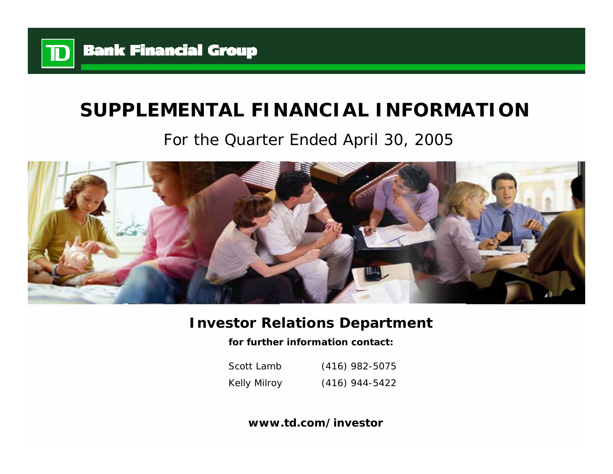

# **SUPPLEMENTAL FINANCIAL INFORMATION**

# For the Quarter Ended April 30, 2005



# **Investor Relations Department**

**for further information contact:**

Scott LambKelly Milroy (416) 982-5075 (416) 944-5422

**www.td.com/investor**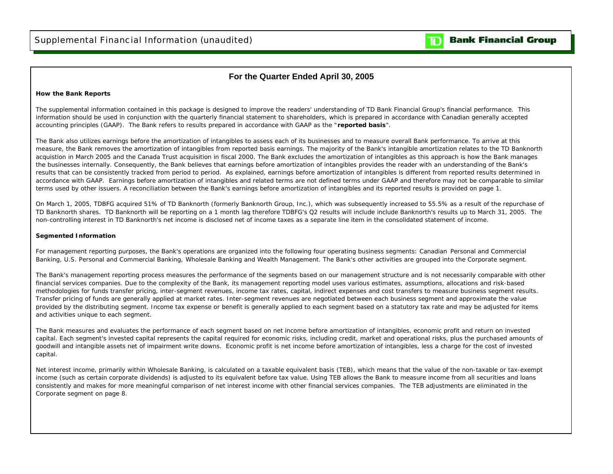## **For the Quarter Ended April 30, 2005**

### **How the Bank Reports**

The supplemental information contained in this package is designed to improve the readers' understanding of TD Bank Financial Group's financial performance. This information should be used in conjunction with the quarterly financial statement to shareholders, which is prepared in accordance with Canadian generally accepted accounting principles (GAAP). The Bank refers to results prepared in accordance with GAAP as the "**reported basis**".

The Bank also utilizes earnings before the amortization of intangibles to assess each of its businesses and to measure overall Bank performance. To arrive at this measure, the Bank removes the amortization of intangibles from reported basis earnings. The majority of the Bank's intangible amortization relates to the TD Banknorth acquistion in March 2005 and the Canada Trust acquisition in fiscal 2000. The Bank excludes the amortization of intangibles as this approach is how the Bank manages the businesses internally. Consequently, the Bank believes that earnings before amortization of intangibles provides the reader with an understanding of the Bank's results that can be consistently tracked from period to period. As explained, earnings before amortization of intangibles is different from reported results determined in accordance with GAAP. Earnings before amortization of intangibles and related terms are not defined terms under GAAP and therefore may not be comparable to similar terms used by other issuers. A reconciliation between the Bank's earnings before amortization of intangibles and its reported results is provided on page 1.

On March 1, 2005, TDBFG acquired 51% of TD Banknorth (formerly Banknorth Group, Inc.), which was subsequently increased to 55.5% as a result of the repurchase of TD Banknorth shares. TD Banknorth will be reporting on a 1 month lag therefore TDBFG's Q2 results will include include Banknorth's results up to March 31, 2005. The non-controlling interest in TD Banknorth's net income is disclosed net of income taxes as a separate line item in the consolidated statement of income.

### **Segmented Information**

For management reporting purposes, the Bank's operations are organized into the following four operating business segments: Canadian Personal and Commercial Banking, U.S. Personal and Commercial Banking, Wholesale Banking and Wealth Management. The Bank's other activities are grouped into the Corporate segment.

The Bank's management reporting process measures the performance of the segments based on our management structure and is not necessarily comparable with other financial services companies. Due to the complexity of the Bank, its management reporting model uses various estimates, assumptions, allocations and risk-based methodologies for funds transfer pricing, inter-segment revenues, income tax rates, capital, indirect expenses and cost transfers to measure business segment results. Transfer pricing of funds are generally applied at market rates. Inter-segment revenues are negotiated between each business segment and approximate the value provided by the distributing segment. Income tax expense or benefit is generally applied to each segment based on a statutory tax rate and may be adjusted for items and activities unique to each segment.

The Bank measures and evaluates the performance of each segment based on net income before amortization of intangibles, economic profit and return on invested capital. Each segment's invested capital represents the capital required for economic risks, including credit, market and operational risks, plus the purchased amounts of goodwill and intangible assets net of impairment write downs. Economic profit is net income before amortization of intangibles, less a charge for the cost of invested capital.

Net interest income, primarily within Wholesale Banking, is calculated on a taxable equivalent basis (TEB), which means that the value of the non-taxable or tax-exempt income (such as certain corporate dividends) is adjusted to its equivalent before tax value. Using TEB allows the Bank to measure income from all securities and loans consistently and makes for more meaningful comparison of net interest income with other financial services companies. The TEB adjustments are eliminated in the Corporate segment on page 8.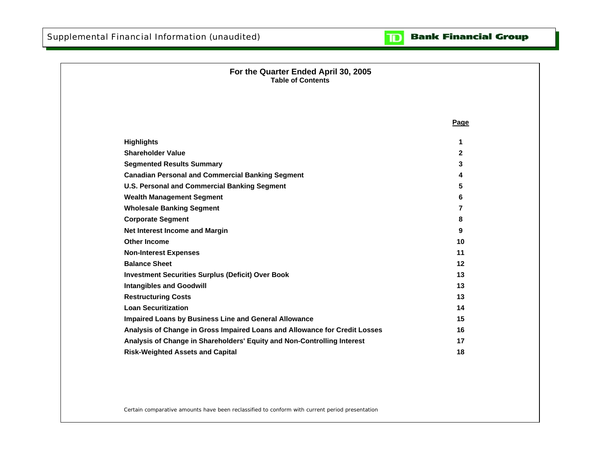### **Bank Financial Group**  $\mathbf{D}$

| For the Quarter Ended April 30, 2005<br><b>Table of Contents</b>           |                |  |
|----------------------------------------------------------------------------|----------------|--|
|                                                                            |                |  |
|                                                                            | Page           |  |
| <b>Highlights</b>                                                          | 1              |  |
| <b>Shareholder Value</b>                                                   | $\mathbf{2}$   |  |
| <b>Segmented Results Summary</b>                                           | 3              |  |
| <b>Canadian Personal and Commercial Banking Segment</b>                    | 4              |  |
| <b>U.S. Personal and Commercial Banking Segment</b>                        | 5              |  |
| <b>Wealth Management Segment</b>                                           | 6              |  |
| <b>Wholesale Banking Segment</b>                                           | $\overline{7}$ |  |
| <b>Corporate Segment</b>                                                   | 8              |  |
| Net Interest Income and Margin                                             | 9              |  |
| <b>Other Income</b>                                                        | 10             |  |
| <b>Non-Interest Expenses</b>                                               | 11             |  |
| <b>Balance Sheet</b>                                                       | 12             |  |
| <b>Investment Securities Surplus (Deficit) Over Book</b>                   | 13             |  |
| <b>Intangibles and Goodwill</b>                                            | 13             |  |
| <b>Restructuring Costs</b>                                                 | 13             |  |
| <b>Loan Securitization</b>                                                 | 14             |  |
| Impaired Loans by Business Line and General Allowance                      | 15             |  |
| Analysis of Change in Gross Impaired Loans and Allowance for Credit Losses | 16             |  |
| Analysis of Change in Shareholders' Equity and Non-Controlling Interest    | 17             |  |
| <b>Risk-Weighted Assets and Capital</b>                                    | 18             |  |

Certain comparative amounts have been reclassified to conform with current period presentation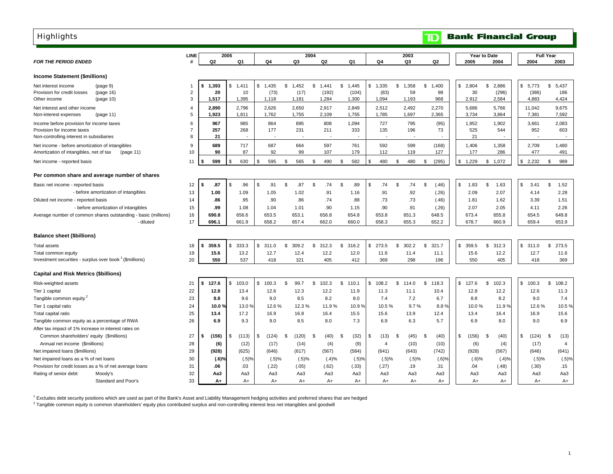<span id="page-3-0"></span>

| <b>Highlights</b>                                                                                       |                     |                |       |                |               |                |      |                |      |                |     |                |                |                |                | $\mathbf \mathbf D$ |              |                | <b>Bank Financial Group</b> |                 |                  |                |
|---------------------------------------------------------------------------------------------------------|---------------------|----------------|-------|----------------|---------------|----------------|------|----------------|------|----------------|-----|----------------|----------------|----------------|----------------|---------------------|--------------|----------------|-----------------------------|-----------------|------------------|----------------|
|                                                                                                         | LINE                |                |       | 2005           |               |                |      |                | 2004 |                |     |                |                |                | 2003           |                     |              |                | Year to Date                |                 | <b>Full Year</b> |                |
| <b>FOR THE PERIOD ENDED</b>                                                                             | #                   | Q <sub>2</sub> |       | Q1             |               | Q4             |      | Q3             |      | Q2             |     | Q1             | Q4             |                | Q3             | Q2                  |              | 2005           | 2004                        | 2004            |                  | 2003           |
|                                                                                                         |                     |                |       |                |               |                |      |                |      |                |     |                |                |                |                |                     |              |                |                             |                 |                  |                |
| <b>Income Statement (\$millions)</b>                                                                    |                     |                |       |                |               |                |      |                |      |                |     |                |                |                |                |                     |              |                |                             |                 |                  |                |
| Net interest income<br>(paqe <sub>9</sub> )                                                             |                     | 1,393<br>\$    |       | 1,411<br>\$    | \$            | 1,435          | \$   | 1,452          | \$   | 1,441          | \$  | 1,445          | \$<br>1,335    | \$             | 1,358          | \$<br>1,400         | \$           | 2,804          | \$<br>2,886                 | \$5,773         | \$               | 5,437          |
| (page 16)<br>Provision for credit losses<br>(page 10)<br>Other income                                   | $\overline{2}$<br>3 | 1,517          | 20    | 10<br>1,395    |               | (73)<br>1,118  |      | (17)<br>1,181  |      | (192)<br>1,284 |     | (104)<br>1,300 | (83)<br>1,094  |                | 59<br>1,193    | 98<br>968           |              | 30<br>2,912    | (296)<br>2,584              | (386)<br>4,883  |                  | 186<br>4,424   |
|                                                                                                         |                     |                |       |                |               |                |      |                |      |                |     |                |                |                |                |                     |              |                |                             |                 |                  |                |
| Net interest and other income<br>(page 11)                                                              | 4<br>5              | 2,890<br>1,923 |       | 2.796<br>1,811 |               | 2,626<br>1,762 |      | 2,650<br>1,755 |      | 2,917<br>2,109 |     | 2,849<br>1,755 | 2,512<br>1,785 |                | 2,492<br>1,697 | 2,270<br>2,365      |              | 5,686<br>3,734 | 5,766<br>3,864              | 11,042<br>7,381 |                  | 9,675<br>7,592 |
| Non-interest expenses                                                                                   |                     |                |       |                |               |                |      |                |      |                |     |                |                |                |                |                     |              |                |                             |                 |                  |                |
| Income before provision for income taxes<br>Provision for income taxes                                  | 6<br>$\overline{7}$ | 967<br>257     |       | 985            |               | 864<br>177     |      | 895<br>231     |      | 808<br>211     |     | 1,094<br>333   | 727<br>135     |                | 795<br>196     | (95)<br>73          |              | 1,952<br>525   | 1,902<br>544                | 3,661<br>952    |                  | 2,083<br>603   |
| Non-controlling interest in subsidiaries                                                                | 8                   |                | 21    | 268            |               |                |      |                |      |                |     |                |                |                |                |                     |              | 21             |                             |                 |                  |                |
|                                                                                                         | 9                   |                | 689   | 717            |               |                |      | 664            |      |                |     | 761            |                |                | 599            |                     |              |                |                             |                 |                  | 1,480          |
| Net income - before amortization of intangibles<br>Amortization of intangibles, net of tax<br>(page 11) | 10                  |                | 90    | 87             |               | 687<br>92      |      | 99             |      | 597<br>107     |     | 179            | 592<br>112     |                | 119            | (168)<br>127        |              | 1,406<br>177   | 1,358<br>286                | 2,709<br>477    |                  | 491            |
|                                                                                                         |                     |                |       |                |               |                |      |                |      |                |     |                |                |                |                |                     |              |                |                             |                 |                  |                |
| Net income - reported basis                                                                             | 11                  | S              | 599   | 630<br>\$      | \$            | 595            | \$   | 565            | \$   | 490            | \$  | 582            | \$<br>480      | \$             | 480            | \$<br>(295)         | \$           | 1,229          | \$<br>1,072                 | \$<br>2,232     | - \$             | 989            |
| Per common share and average number of shares                                                           |                     |                |       |                |               |                |      |                |      |                |     |                |                |                |                |                     |              |                |                             |                 |                  |                |
| Basic net income - reported basis                                                                       | 12                  | \$             | .87   | \$<br>.96      | $\mathfrak s$ | .91            | \$   | .87            | \$   | .74            | \$  | .89            | \$<br>.74      | $\mathfrak{S}$ | .74            | \$<br>(.46)         | \$           | 1.83           | \$<br>1.63                  | \$<br>3.41      | $\mathbb{S}$     | 1.52           |
| - before amortization of intangibles                                                                    | 13                  | 1.00           |       | 1.09           |               | 1.05           |      | 1.02           |      | .91            |     | 1.16           | .91            |                | .92            | (.26)               |              | 2.09           | 2.07                        | 4.14            |                  | 2.28           |
| Diluted net income - reported basis                                                                     | 14                  |                | .86   | .95            |               | .90            |      | .86            |      | .74            |     | .88            | .73            |                | .73            | (.46)               |              | 1.81           | 1.62                        | 3.39            |                  | 1.51           |
| - before amortization of intangibles                                                                    | 15                  |                | .99   | 1.08           |               | 1.04           |      | 1.01           |      | .90            |     | 1.15           | .90            |                | .91            | (.26)               |              | 2.07           | 2.05                        | 4.11            |                  | 2.26           |
| Average number of common shares outstanding - basic (millions)                                          | 16                  | 690.8          |       | 656.6          |               | 653.5          |      | 653.1          |      | 656.8          |     | 654.8          | 653.8          |                | 651.3          | 648.5               |              | 673.4          | 655.8                       | 654.5           |                  | 649.8          |
| - diluted                                                                                               | 17                  | 696.1          |       | 661.9          |               | 658.2          |      | 657.4          |      | 662.0          |     | 660.0          | 658.3          |                | 655.3          | 652.2               |              | 678.7          | 660.9                       | 659.4           |                  | 653.9          |
| <b>Balance sheet (\$billions)</b>                                                                       |                     |                |       |                |               |                |      |                |      |                |     |                |                |                |                |                     |              |                |                             |                 |                  |                |
| Total assets                                                                                            | 18                  | 359.5<br>\$    |       | 333.3<br>\$.   | \$            | 311.0          | \$.  | 309.2          | \$   | 312.3          | £.  | 316.2          | \$<br>273.5    | \$             | 302.2          | \$<br>321.7         | \$           | 359.5          | \$<br>312.3                 | \$<br>311.0     | \$               | 273.5          |
| Total common equity                                                                                     | 19                  | 15.6           |       | 13.2           |               | 12.7           |      | 12.4           |      | 12.2           |     | 12.0           | 11.6           |                | 11.4           | 11.1                |              | 15.6           | 12.2                        | 12.7            |                  | 11.6           |
| Investment securities - surplus over book <sup>1</sup> (\$millions)                                     | 20                  |                | 550   | 537            |               | 418            |      | 321            |      | 405            |     | 412            | 369            |                | 298            | 196                 |              | 550            | 405                         | 418             |                  | 369            |
|                                                                                                         |                     |                |       |                |               |                |      |                |      |                |     |                |                |                |                |                     |              |                |                             |                 |                  |                |
| <b>Capital and Risk Metrics (\$billions)</b>                                                            |                     |                |       |                |               |                |      |                |      |                |     |                |                |                |                |                     |              |                |                             |                 |                  |                |
| Risk-weighted assets                                                                                    | 21                  | 127.6<br>\$    |       | 103.0<br>\$    | \$            | 100.3          | \$   | 99.7           | \$   | 102.3          | \$  | 110.1          | \$<br>108.2    | \$             | 114.0          | \$<br>118.3         | $\mathbb{S}$ | 127.6          | \$<br>102.3                 | \$<br>100.3     | \$               | 108.2          |
| Tier 1 capital                                                                                          | 22                  | 12.8           |       | 13.4           |               | 12.6           |      | 12.3           |      | 12.2           |     | 11.9           | 11.3           |                | 11.1           | 10.4                |              | 12.8           | 12.2                        | 12.6            |                  | 11.3           |
| Tangible common equity <sup>2</sup>                                                                     | 23                  |                | 8.8   | 9.6            |               | 9.0            |      | 8.5            |      | 8.2            |     | 8.0            | 7.4            |                | 7.2            | 6.7                 |              | 8.8            | 8.2                         | 9.0             |                  | 7.4            |
| Tier 1 capital ratio                                                                                    | 24                  |                | 10.0% | 13.0%          |               | 12.6%          |      | 12.3%          |      | 11.9%          |     | 10.9%          | 10.5%          |                | 9.7%           | 8.8%                |              | 10.0%          | 11.9%                       | 12.6%           |                  | 10.5%          |
| Total capital ratio                                                                                     | 25                  | 13.4           |       | 17.2           |               | 16.9           |      | 16.8           |      | 16.4           |     | 15.5           | 15.6           |                | 13.9           | 12.4                |              | 13.4           | 16.4                        | 16.9            |                  | 15.6           |
| Tangible common equity as a percentage of RWA                                                           | 26                  |                | 6.9   | 9.3            |               | 9.0            |      | 8.5            |      | 8.0            |     | 7.3            | 6.9            |                | 6.3            | 5.7                 |              | 6.9            | 8.0                         | 9.0             |                  | 6.9            |
| After tax impact of 1% increase in interest rates on                                                    |                     |                |       |                |               |                |      |                |      |                |     |                |                |                |                |                     |              |                |                             |                 |                  |                |
| Common shareholders' equity (\$millions)                                                                | 27                  | (156)<br>S     |       | (113)<br>\$.   | \$            | (124)          | - \$ | (120)          | £.   | (40)           | -SS | (32)           | \$<br>(13)     | -\$            | (45)           | \$<br>(40)          | \$           | (156)          | \$<br>(40)                  | \$<br>(124)     | \$.              | (13)           |
| Annual net income (\$millions)                                                                          | 28                  |                | (6)   | (12)           |               | (17)           |      | (14)           |      | (4)            |     | (9)            | $\overline{4}$ |                | (10)           | (10)                |              | (6)            | (4)                         | (17)            |                  | $\overline{4}$ |
| Net impaired loans (\$millions)                                                                         | 29                  |                | (928) | (625)          |               | (646)          |      | (617)          |      | (567)          |     | (584)          | (641)          |                | (643)          | (742)               |              | (928)          | (567)                       | (646)           |                  | (641)          |

Net impaired loans as a % of net loans 30 **(.6)%** (.5)% (.5)% (.5)% (.4)% (.5)% (.5)% (.5)% (.6)% (.6)% (.4)% (.5)% (.5)% Provision for credit losses as a % of net average loans 31 **.06** (.22) .03 (.05) (.62) (.33) (.27) .19 .31 .04 (.48) (.30) .15 Rating of senior debt: Moody's 32 **Aa3** Aa3 Aa3 Aa3 Aa3 Aa3 Aa3 Aa3 Aa3 Aa3 Aa3 Aa3 Aa3

**A+** A+ A+ A+ A+ A+ A+ A+ A+ A+ A+ A+ A+

1 Excludes debt security positions which are used as part of the Bank's Asset and Liability Management hedging activities and preferred shares that are hedged

<sup>2</sup> Tangible common equity is common shareholders' equity plus contributed surplus and non-controlling interest less net intangibles and goodwill

Standard and Poor's 33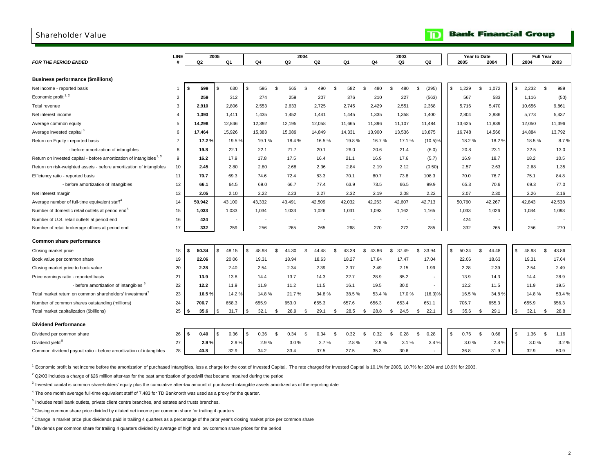<span id="page-4-0"></span>

| <b>Shareholder Value</b>                                                        |                |             |                      |        |              |      |                |                |                          |                |                          |    |        | ID                       |            |              | <b>Bank Financial Group</b> |    |                          |                  |        |
|---------------------------------------------------------------------------------|----------------|-------------|----------------------|--------|--------------|------|----------------|----------------|--------------------------|----------------|--------------------------|----|--------|--------------------------|------------|--------------|-----------------------------|----|--------------------------|------------------|--------|
|                                                                                 | <b>LINE</b>    |             | 2005                 |        |              |      | 2004           |                |                          |                |                          |    | 2003   |                          |            | Year to Date |                             |    |                          | <b>Full Year</b> |        |
| <b>FOR THE PERIOD ENDED</b>                                                     | #              | Q2          | Q <sub>1</sub>       |        | Q4           |      | Q <sub>3</sub> | Q <sub>2</sub> |                          | Q <sub>1</sub> | Q4                       |    | Q3     | Q <sub>2</sub>           |            | 2005         | 2004                        |    | 2004                     |                  | 2003   |
| <b>Business performance (\$millions)</b>                                        |                |             |                      |        |              |      |                |                |                          |                |                          |    |        |                          |            |              |                             |    |                          |                  |        |
| Net income - reported basis                                                     | -1             | \$<br>599   | 630<br>- \$          |        | 595<br>\$    | \$   | 565            | \$<br>490      | \$                       | 582            | \$<br>480                | S. | 480    | (295)<br>\$              | \$         | 1,229        | \$<br>1,072                 | \$ | 2,232                    | \$               | 989    |
| Economic profit $1, 2$                                                          | $\overline{2}$ | 259         | 312                  |        | 274          |      | 259            | 207            |                          | 376            | 210                      |    | 227    | (563)                    |            | 567          | 583                         |    | 1,116                    |                  | (50)   |
| Total revenue                                                                   | 3              | 2,910       | 2,806                |        | 2,553        |      | 2,633          | 2,725          |                          | 2,745          | 2,429                    |    | 2,551  | 2,368                    |            | 5,716        | 5,470                       |    | 10,656                   |                  | 9,861  |
| Net interest income                                                             | $\overline{4}$ | 1,393       | 1.411                |        | 1,435        |      | 1,452          | 1,441          |                          | 1,445          | 1,335                    |    | 1,358  | 1,400                    |            | 2,804        | 2,886                       |    | 5,773                    |                  | 5,437  |
| Average common equity                                                           | 5              | 14,298      | 12,846               |        | 12,392       |      | 12,195         | 12,058         |                          | 11,665         | 11,396                   |    | 11,107 | 11,484                   |            | 13,625       | 11,839                      |    | 12,050                   |                  | 11,396 |
| Average invested capital <sup>3</sup>                                           | 6              | 17,464      | 15,926               |        | 15,383       |      | 15,089         | 14,849         |                          | 14,331         | 13,900                   |    | 13,536 | 13,875                   |            | 16,748       | 14,566                      |    | 14,884                   |                  | 13,792 |
| Return on Equity - reported basis                                               | $\overline{7}$ | 17.2%       |                      | 19.5%  | 19.1%        |      | 18.4%          |                | 16.5%                    | 19.8%          | 16.7%                    |    | 17.1%  | $(10.5)\%$               |            | 18.2%        | 18.2%                       |    | 18.5%                    |                  | 8.7%   |
| - before amortization of intangibles                                            | 8              | 19.8        | 22.1                 |        | 22.1         |      | 21.7           | 20.1           |                          | 26.0           | 20.6                     |    | 21.4   | (6.0)                    |            | 20.8         | 23.1                        |    | 22.5                     |                  | 13.0   |
| Return on invested capital - before amortization of intangibles <sup>2, 3</sup> | 9              | 16.2        | 17.9                 |        | 17.8         |      | 17.5           | 16.4           |                          | 21.1           | 16.9                     |    | 17.6   | (5.7)                    |            | 16.9         | 18.7                        |    | 18.2                     |                  | 10.5   |
| Return on risk-weighted assets - before amortization of intangibles             | 10             | 2.45        | 2.80                 |        | 2.80         |      | 2.68           | 2.36           |                          | 2.84           | 2.19                     |    | 2.12   | (0.50)                   |            | 2.57         | 2.63                        |    | 2.68                     |                  | 1.35   |
| Efficiency ratio - reported basis                                               | 11             | 70.7        | 69.3                 |        | 74.6         |      | 72.4           | 83.3           |                          | 70.1           | 80.7                     |    | 73.8   | 108.3                    |            | 70.0         | 76.7                        |    | 75.1                     |                  | 84.8   |
| - before amortization of intangibles                                            | 12             | 66.1        | 64.5                 |        | 69.0         |      | 66.7           | 77.4           |                          | 63.9           | 73.5                     |    | 66.5   | 99.9                     |            | 65.3         | 70.6                        |    | 69.3                     |                  | 77.0   |
| Net interest margin                                                             | 13             | 2.05        | 2.10                 |        | 2.22         |      | 2.23           | 2.27           |                          | 2.32           | 2.19                     |    | 2.08   | 2.22                     |            | 2.07         | 2.30                        |    | 2.26                     |                  | 2.16   |
| Average number of full-time equivalent staff <sup>4</sup>                       | 14             | 50,942      | 43,100               |        | 43,332       |      | 43,491         | 42,509         |                          | 42,032         | 42,263                   |    | 42,607 | 42,713                   |            | 50,760       | 42,267                      |    | 42,843                   |                  | 42,538 |
| Number of domestic retail outlets at period end <sup>5</sup>                    | 15             | 1,033       | 1,033                |        | 1,034        |      | 1,033          | 1,026          |                          | 1,031          | 1,093                    |    | 1,162  | 1,165                    |            | 1,033        | 1,026                       |    | 1,034                    |                  | 1,093  |
| Number of U.S. retail outlets at period end                                     | 16             | 424         |                      |        | $\sim$       |      | ÷,             |                | $\overline{\phantom{a}}$ | $\sim$         | $\overline{\phantom{a}}$ |    | $\sim$ |                          |            | 424          |                             |    | $\overline{\phantom{a}}$ |                  |        |
| Number of retail brokerage offices at period end                                | 17             | 332         | 259                  |        | 256          |      | 265            | 265            |                          | 268            | 270                      |    | 272    | 285                      |            | 332          | 265                         |    | 256                      |                  | 270    |
| Common share performance                                                        |                |             |                      |        |              |      |                |                |                          |                |                          |    |        |                          |            |              |                             |    |                          |                  |        |
| Closing market price                                                            | 18             | \$<br>50.34 | 48.15<br>ŗ,          |        | 48.98<br>\$. | \$   | 44.30          | 44.48<br>S.    |                          | \$<br>43.38    | s.<br>43.86              | s. | 37.49  | \$<br>33.94              | $\sqrt{2}$ | 50.34        | \$<br>44.48                 | s. | 48.98                    | \$               | 43.86  |
| Book value per common share                                                     | 19             | 22.06       | 20.06                |        | 19.31        |      | 18.94          | 18.63          |                          | 18.27          | 17.64                    |    | 17.47  | 17.04                    |            | 22.06        | 18.63                       |    | 19.31                    |                  | 17.64  |
| Closing market price to book value                                              | 20             | 2.28        | 2.40                 |        | 2.54         |      | 2.34           | 2.39           |                          | 2.37           | 2.49                     |    | 2.15   | 1.99                     |            | 2.28         | 2.39                        |    | 2.54                     |                  | 2.49   |
| Price earnings ratio - reported basis                                           | 21             | 13.9        | 13.8                 |        | 14.4         |      | 13.7           | 14.3           |                          | 22.7           | 28.9                     |    | 85.2   |                          |            | 13.9         | 14.3                        |    | 14.4                     |                  | 28.9   |
| - before amortization of intangibles <sup>6</sup>                               | 22             | 12.2        | 11.9                 |        | 11.9         |      | 11.2           | 11.5           |                          | 16.1           | 19.5                     |    | 30.0   | $\sim$                   |            | 12.2         | 11.5                        |    | 11.9                     |                  | 19.5   |
| Total market return on common shareholders' investment'                         | 23             | 16.5%       |                      | 14.2 % | 14.8%        |      | 21.7%          |                | 34.8%                    | 38.5%          | 53.4%                    |    | 17.0%  | $(16.3)\%$               |            | 16.5%        | 34.8%                       |    | 14.8%                    |                  | 53.4%  |
| Number of common shares outstanding (millions)                                  | 24             | 706.7       | 658.3                |        | 655.9        |      | 653.0          | 655.3          |                          | 657.6          | 656.3                    |    | 653.4  | 651.1                    |            | 706.7        | 655.3                       |    | 655.9                    |                  | 656.3  |
| Total market capitalization (\$billions)                                        | 25             | 35.6        | 31.7<br>\$.          |        | 32.1<br>-S   | \$   | 28.9           | 29.1<br>\$     |                          | \$<br>28.5     | 28.8<br>s.               | S. | 24.5   | 22.1<br>\$               | \$         | 35.6         | \$<br>29.1                  | S  | 32.1                     | \$               | 28.8   |
| <b>Dividend Performance</b>                                                     |                |             |                      |        |              |      |                |                |                          |                |                          |    |        |                          |            |              |                             |    |                          |                  |        |
| Dividend per common share                                                       | 26             | \$<br>0.40  | 0.36<br><sub>S</sub> |        | 0.36<br>\$   | S.   | 0.34           | 0.34<br>\$     | <b>S</b>                 | 0.32           | \$<br>0.32               | S. | 0.28   | <b>S</b><br>0.28         | \$         | 0.76         | \$<br>0.66                  | \$ | 1.36                     | <b>S</b>         | 1.16   |
| Dividend yield <sup>8</sup>                                                     | 27             | 2.9%        |                      | 2.9%   |              | 2.9% | 3.0%           |                | 2.7%                     | 2.8%           | 2.9%                     |    | 3.1%   | 3.4%                     |            | 3.0%         | 2.8%                        |    | 3.0%                     |                  | 3.2%   |
| Common dividend payout ratio - before amortization of intangibles               | 28             | 40.8        | 32.9                 |        | 34.2         |      | 33.4           | 37.5           |                          | 27.5           | 35.3                     |    | 30.6   | $\overline{\phantom{a}}$ |            | 36.8         | 31.9                        |    | 32.9                     |                  | 50.9   |

<sup>1</sup> Economic profit is net income before the amortization of purchased intangibles, less a charge for the cost of Invested Capital. The rate charged for Invested Capital is 10.1% for 2005, 10.7% for 2004 and 10.9% for 2003

 $2$  Q2/03 includes a charge of \$26 million after-tax for the past amortization of goodwill that became impaired during the period

<sup>3</sup> Invested capital is common shareholders' equity plus the cumulative after-tax amount of purchased intangible assets amortized as of the reporting date

4 The one month average full-time equivalent staff of 7,483 for TD Banknorth was used as a proxy for the quarter.

 $5$  Includes retail bank outlets, private client centre branches, and estates and trusts branches.

 $6$  Closing common share price divided by diluted net income per common share for trailing 4 quarters

 $^7$  Change in market price plus dividends paid in trailing 4 quarters as a percentage of the prior year's closing market price per common share

<sup>8</sup> Dividends per common share for trailing 4 quarters divided by average of high and low common share prices for the period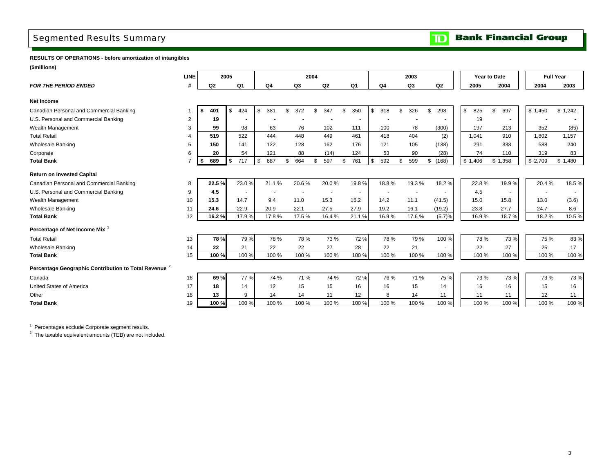## <span id="page-5-0"></span>Segmented Results Summary

**Bank Financial Group**  $\mathbf{D}$ 

**RESULTS OF OPERATIONS - before amortization of intangibles**

**(\$millions)**

|                                                                  | <b>LINE</b>    |             | 2005 |                |           |           | 2004 |                |                |                 | 2003      |           |           | Year to Date |         | <b>Full Year</b> |         |
|------------------------------------------------------------------|----------------|-------------|------|----------------|-----------|-----------|------|----------------|----------------|-----------------|-----------|-----------|-----------|--------------|---------|------------------|---------|
| <b>FOR THE PERIOD ENDED</b>                                      | #              | Q2          |      | Q <sub>1</sub> | Q4        | Q3        |      | Q <sub>2</sub> | Q <sub>1</sub> | Q <sub>4</sub>  | Q3        | Q2        | 2005      |              | 2004    | 2004             | 2003    |
| <b>Net Income</b>                                                |                |             |      |                |           |           |      |                |                |                 |           |           |           |              |         |                  |         |
| Canadian Personal and Commercial Banking                         |                | 401<br>- \$ |      | 424<br>\$      | \$<br>381 | \$<br>372 | \$   | 347            | \$<br>350      | \$<br>318<br>\$ | 326       | \$<br>298 | \$<br>825 | \$           | 697     | \$1,450          | \$1,242 |
| U.S. Personal and Commercial Banking                             | $\overline{2}$ | 19          |      |                |           |           |      |                |                |                 |           |           | 19        |              |         |                  |         |
| Wealth Management                                                | 3              | 99          |      | 98             | 63        | 76        |      | 102            | 111            | 100             | 78        | (300)     | 197       |              | 213     | 352              | (85)    |
| <b>Total Retail</b>                                              | 4              | 519         |      | 522            | 444       | 448       |      | 449            | 461            | 418             | 404       | (2)       | 1,041     |              | 910     | 1.802            | 1.157   |
| <b>Wholesale Banking</b>                                         | 5              | 150         |      | 141            | 122       | 128       |      | 162            | 176            | 121             | 105       | (138)     | 291       |              | 338     | 588              | 240     |
| Corporate                                                        | 6              | 20          |      | 54             | 121       | 88        |      | (14)           | 124            | 53              | 90        | (28)      | 74        |              | 110     | 319              | 83      |
| <b>Total Bank</b>                                                |                | 689<br>. \$ |      | 717<br>\$      | \$<br>687 | \$<br>664 | \$   | 597            | \$<br>761      | \$<br>592       | 599<br>\$ | \$(168)   | \$1,406   |              | \$1,358 | \$2,709          | \$1,480 |
| <b>Return on Invested Capital</b>                                |                |             |      |                |           |           |      |                |                |                 |           |           |           |              |         |                  |         |
| Canadian Personal and Commercial Banking                         | 8              | 22.5%       |      | 23.0%          | 21.1%     | 20.6%     |      | 20.0%          | 19.8%          | 18.8%           | 19.3%     | 18.2%     | 22.8%     |              | 19.9%   | 20.4%            | 18.5%   |
| U.S. Personal and Commercial Banking                             | 9              | 4.5         |      | $\sim$         |           |           |      | $\overline{a}$ | ÷              |                 |           |           | 4.5       |              |         |                  |         |
| Wealth Management                                                | 10             | 15.3        |      | 14.7           | 9.4       | 11.0      |      | 15.3           | 16.2           | 14.2            | 11.1      | (41.5)    | 15.0      |              | 15.8    | 13.0             | (3.6)   |
| <b>Wholesale Banking</b>                                         | 11             | 24.6        |      | 22.9           | 20.9      | 22.1      |      | 27.5           | 27.9           | 19.2            | 16.1      | (19.2)    | 23.8      |              | 27.7    | 24.7             | 8.6     |
| <b>Total Bank</b>                                                | 12             | 16.2%       |      | 17.9%          | 17.8%     | 17.5%     |      | 16.4%          | 21.1%          | 16.9%           | 17.6%     | (5.7)%    | 16.9%     |              | 18.7%   | 18.2%            | 10.5%   |
| Percentage of Net Income Mix <sup>1</sup>                        |                |             |      |                |           |           |      |                |                |                 |           |           |           |              |         |                  |         |
| <b>Total Retail</b>                                              | 13             | 78 %        |      | 79 %           | 78%       | 78 %      |      | 73 %           | 72%            | 78%             | 79 %      | 100 %     | 78%       |              | 73 %    | 75 %             | 83%     |
| <b>Wholesale Banking</b>                                         | 14             | 22          |      | 21             | 22        | 22        |      | 27             | 28             | 22              | 21        | $\sim$    | 22        |              | 27      | 25               | 17      |
| <b>Total Bank</b>                                                | 15             | 100 %       |      | 100 %          | 100 %     | 100 %     |      | 100 %          | 100 %          | 100 %           | 100 %     | 100 %     | 100 %     |              | 100 %   | 100 %            | 100 %   |
| Percentage Geographic Contribution to Total Revenue <sup>2</sup> |                |             |      |                |           |           |      |                |                |                 |           |           |           |              |         |                  |         |
| Canada                                                           | 16             | 69%         |      | 77 %           | 74 %      | 71 %      |      | 74 %           | 72 %           | 76 %            | 71 %      | 75 %      | 73%       |              | 73 %    | 73 %             | 73 %    |
| <b>United States of America</b>                                  | 17             | 18          |      | 14             | 12        | 15        |      | 15             | 16             | 16              | 15        | 14        | 16        |              | 16      | 15               | 16      |
| Other                                                            | 18             | 13          |      | 9              | 14        | 14        |      | 11             | 12             | 8               | 14        | 11        | 11        |              | 11      | 12               | 11      |
| <b>Total Bank</b>                                                | 19             | 100%        |      | 100 %          | 100 %     | 100 %     |      | 100 %          | 100 %          | 100 %           | 100 %     | 100 %     | 100 %     |              | 100 %   | 100 %            | 100 %   |

<sup>1</sup> Percentages exclude Corporate segment results.

 $2$  The taxable equivalent amounts (TEB) are not included.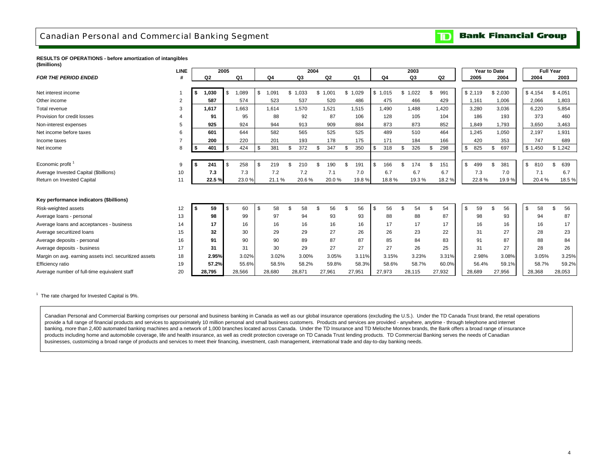### <span id="page-6-0"></span>Canadian Personal and Commercial Banking Segment

### **Bank Financial Group**  $\overline{\mathbf{D}}$

### **RESULTS OF OPERATIONS - before amortization of intangibles (\$millions)**

|                                                        | <b>LINE</b>    |             | 2005 |                |                |           | 2004 |         |         |      |         |                | 2003   |           | Year to Date |           | <b>Full Year</b> |           |
|--------------------------------------------------------|----------------|-------------|------|----------------|----------------|-----------|------|---------|---------|------|---------|----------------|--------|-----------|--------------|-----------|------------------|-----------|
| <b>FOR THE PERIOD ENDED</b>                            |                | Q2          |      | Q <sub>1</sub> | Q <sub>4</sub> | Q3        |      | Q2      | Q1      |      | Q4      |                | Q3     | Q2        | 2005         | 2004      | 2004             | 2003      |
|                                                        |                |             |      |                |                |           |      |         |         |      |         |                |        |           |              |           |                  |           |
| Net interest income                                    |                | 1,030<br>s. | \$   | 1,089          | \$<br>1,091    | \$1,033   |      | \$1,001 | \$1,029 |      | \$1,015 | \$             | 1,022  | \$<br>991 | \$2,119      | \$2,030   | \$4,154          | \$4,051   |
| Other income                                           | 2              | 587         |      | 574            | 523            | 537       |      | 520     | 486     |      | 475     |                | 466    | 429       | 1,161        | 1,006     | 2.066            | 1,803     |
| Total revenue                                          | 3              | 1,617       |      | 1,663          | 1,614          | 1,570     |      | 1,521   | 1,515   |      | 1,490   |                | 1,488  | 1,420     | 3,280        | 3,036     | 6,220            | 5,854     |
| Provision for credit losses                            | $\overline{4}$ | 91          |      | 95             | 88             | 92        |      | 87      | 106     |      | 128     |                | 105    | 104       | 186          | 193       | 373              | 460       |
| Non-interest expenses                                  | 5              | 925         |      | 924            | 944            | 913       |      | 909     | 884     |      | 873     |                | 873    | 852       | 1,849        | 1,793     | 3,650            | 3,463     |
| Net income before taxes                                | 6              | 601         |      | 644            | 582            | 565       |      | 525     | 525     |      | 489     |                | 510    | 464       | 1.245        | 1.050     | 2.197            | 1,931     |
| Income taxes                                           | $\overline{7}$ | 200         |      | 220            | 201            | 193       |      | 178     | 175     |      | 171     |                | 184    | 166       | 420          | 353       | 747              | 689       |
| Net income                                             | 8              | 401         | \$   | 424            | 381            | \$<br>372 | \$   | 347     | 350     |      | 318     | \$             | 326    | \$<br>298 | \$<br>825    | \$<br>697 | \$1,450          | \$1,242   |
|                                                        |                |             |      |                |                |           |      |         |         |      |         |                |        |           |              |           |                  |           |
| Economic profit                                        | 9              | 241         | \$   | 258            | \$<br>219      | \$<br>210 | \$   | 190     | 191     | -\$  | 166     | $\mathfrak{L}$ | 174    | \$<br>151 | \$<br>499    | \$<br>381 | \$<br>810        | 639<br>\$ |
| Average Invested Capital (\$billions)                  | 10             | 7.3         |      | 7.3            | 7.2            | 7.2       |      | 7.1     | 7.0     |      | 6.7     |                | 6.7    | 6.7       | 7.3          | 7.0       | 7.1              | 6.7       |
| Return on Invested Capital                             | 11             | 22.5%       |      | 23.0%          | 21.1%          | 20.6%     |      | 20.0%   | 19.8%   |      | 18.8%   |                | 19.3%  | 18.2%     | 22.8%        | 19.9%     | 20.4%            | 18.5%     |
|                                                        |                |             |      |                |                |           |      |         |         |      |         |                |        |           |              |           |                  |           |
| Key performance indicators (\$billions)                |                |             |      |                |                |           |      |         |         |      |         |                |        |           |              |           |                  |           |
| Risk-weighted assets                                   | 12             | 59          | \$   | 60             | \$<br>58       | \$<br>58  | \$.  | 56      | 56      | - \$ | 56      | . ፍ            | 54     | \$<br>54  | \$<br>59     | \$<br>56  | \$<br>58         | \$<br>56  |
|                                                        | 13             | 98          |      | 99             | 97             | 94        |      |         | 93      |      | 88      |                |        | 87        | 98           | 93        | 94               | 87        |
| Average loans - personal                               |                |             |      |                |                |           |      | 93      |         |      |         |                | 88     |           |              |           |                  |           |
| Average loans and acceptances - business               | 14             | 17          |      | 16             | 16             | 16        |      | 16      | 16      |      | 17      |                | 17     | 17        | 16           | 16        | 16               | 17        |
| Average securitized loans                              | 15             | 32          |      | 30             | 29             | 29        |      | 27      | 26      |      | 26      |                | 23     | 22        | 31           | 27        | 28               | 23        |
| Average deposits - personal                            | 16             | 91          |      | 90             | 90             | 89        |      | 87      | 87      |      | 85      |                | 84     | 83        | 91           | 87        | 88               | 84        |
| Average deposits - business                            | 17             | 31          |      | 31             | 30             | 29        |      | 27      | 27      |      | 27      |                | 26     | 25        | 31           | 27        | 28               | 26        |
| Margin on avg. earning assets incl. securitized assets | 18             | 2.95%       |      | 3.02%          | 3.02%          | 3.00%     |      | 3.05%   | 3.11%   |      | 3.15%   |                | 3.23%  | 3.31%     | 2.98%        | 3.08%     | 3.05%            | 3.25%     |
| Efficiency ratio                                       | 19             | 57.2%       |      | 55.6%          | 58.5%          | 58.2%     |      | 59.8%   | 58.3%   |      | 58.6%   |                | 58.7%  | 60.0%     | 56.4%        | 59.1%     | 58.7%            | 59.2%     |
| Average number of full-time equivalent staff           | 20             | 28,795      |      | 28,566         | 28,680         | 28,871    |      | 27,961  | 27,951  |      | 27,973  |                | 28,115 | 27,932    | 28,689       | 27,956    | 28,368           | 28,053    |

 $1$  The rate charged for Invested Capital is 9%.

Canadian Personal and Commercial Banking comprises our personal and business banking in Canada as well as our global insurance operations (excluding the U.S.). Under the TD Canada Trust brand, the retail operations provide a full range of financial products and services to approximately 10 million personal and small business customers. Products and services are provided - anywhere, anytime - through telephone and internet banking, more than 2,400 automated banking machines and a network of 1,000 branches located across Canada. Under the TD Insurance and TD Meloche Monnex brands, the Bank offers a broad range of insurance products including home and automobile coverage, life and health insurance, as well as credit protection coverage on TD Canada Trust lending products. TD Commercial Banking serves the needs of Canadian businesses, customizing a broad range of products and services to meet their financing, investment, cash management, international trade and day-to-day banking needs.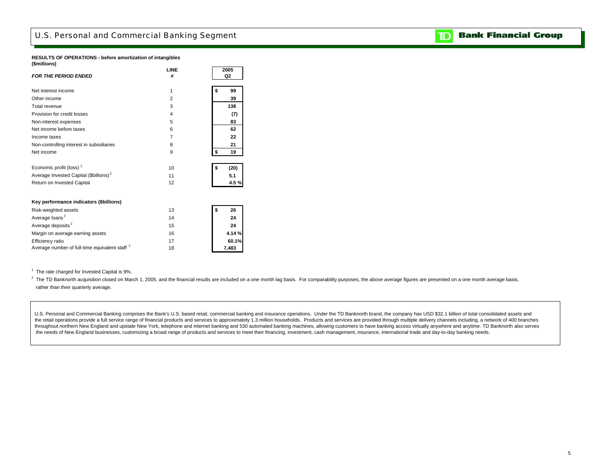## <span id="page-7-0"></span>U.S. Personal and Commercial Banking Segment

### **RESULTS OF OPERATIONS - before amortization of intangibles (\$millions)**

|                                                           | LINE           | 2005       |
|-----------------------------------------------------------|----------------|------------|
| <b>FOR THE PERIOD ENDED</b>                               | #              | Q2         |
| Net interest income                                       | 1              | \$<br>99   |
| Other income                                              | $\overline{2}$ | 39         |
| Total revenue                                             | 3              | 138        |
| Provision for credit losses                               | 4              | (7)        |
| Non-interest expenses                                     | 5              | 83         |
| Net income before taxes                                   | 6              | 62         |
| Income taxes                                              | 7              | 22         |
| Non-controlling interest in subsidiaries                  | 8              | 21         |
| Net income                                                | 9              | \$<br>19   |
|                                                           |                |            |
| Economic profit (loss) <sup>1</sup>                       | 10             | \$<br>(20) |
| Average Invested Capital (\$billions) <sup>2</sup>        | 11             | 5.1        |
| Return on Invested Capital                                | 12             | 4.5%       |
|                                                           |                |            |
| Key performance indicators (\$billions)                   |                |            |
| Risk-weighted assets                                      | 13             | \$<br>26   |
| Average loans <sup>2</sup>                                | 14             | 24         |
| Average deposits <sup>2</sup>                             | 15             | 24         |
| Margin on average earning assets                          | 16             | 4.14%      |
| Efficiency ratio                                          | 17             | 60.1%      |
| Average number of full-time equivalent staff <sup>2</sup> | 18             | 7,483      |

 $1$  The rate charged for Invested Capital is 9%.

<sup>2</sup> The TD Banknorth acquisition closed on March 1, 2005, and the financial results are included on a one month lag basis. For comparability purposes, the above average figures are presented on a one month average basis, rather than their quarterly average.

U.S. Personal and Commercial Banking comprises the Bank's U.S. based retail, commercial banking and insurance operations. Under the TD Banknorth brand, the company has USD \$32.1 billion of total consolidated assets and the retail operations provide a full service range of financial products and services to approximately 1.3 million households. Products and services are provided through multiple delivery channels including, a network of 4 throughout northern New England and upstate New York, telephone and internet banking and 530 automated banking machines, allowing customers to have banking access virtually anywhere and anytime. TD Banknorth also serves the needs of New England businesses, customizing a broad range of products and services to meet their financing, investment, cash management, insurance, international trade and day-to-day banking needs.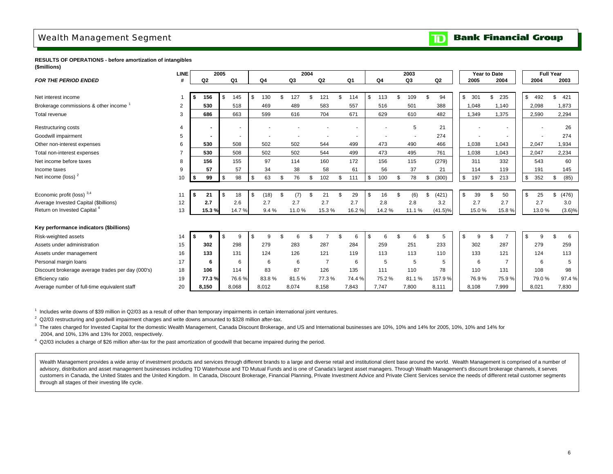## <span id="page-8-0"></span>Wealth Management Segment

### **Bank Financial Group**  $\overline{\mathbf{D}}$

**RESULTS OF OPERATIONS - before amortization of intangibles (\$millions)**

|                                                   | <b>LINE</b>    |                | 2005 |                |            |           | 2004 |                |                |     |                | 2003      |     |            |              | Year to Date |     |                |                    | <b>Full Year</b> |           |
|---------------------------------------------------|----------------|----------------|------|----------------|------------|-----------|------|----------------|----------------|-----|----------------|-----------|-----|------------|--------------|--------------|-----|----------------|--------------------|------------------|-----------|
| <b>FOR THE PERIOD ENDED</b>                       | #              | Q2             |      | Q <sub>1</sub> | Q4         | Q3        |      | Q2             | Q <sub>1</sub> |     | Q <sub>4</sub> | Q3        |     | Q2         |              | 2005         |     | 2004           | 2004               | 2003             |           |
|                                                   |                |                |      |                |            |           |      |                |                |     |                |           |     |            |              |              |     |                |                    |                  |           |
| Net interest income                               |                | \$<br>156      | \$   | 145            | \$<br>130  | \$<br>127 | \$   | 121            | \$<br>114      | \$  | 113            | \$<br>109 | \$  | 94         | $\mathbb{S}$ | 301          | \$  | 235            | \$<br>492          | \$               | 421       |
| Brokerage commissions & other income              | $\overline{2}$ | 530            |      | 518            | 469        | 489       |      | 583            | 557            |     | 516            | 501       |     | 388        |              | 1,048        |     | 1,140          | 2,098              | 1,873            |           |
| Total revenue                                     | 3              | 686            |      | 663            | 599        | 616       |      | 704            | 671            |     | 629            | 610       |     | 482        |              | 1,349        |     | 1,375          | 2,590              | 2,294            |           |
| Restructuring costs                               | $\overline{4}$ | $\blacksquare$ |      | ۰              |            |           |      |                |                |     |                | 5         |     | 21         |              |              |     |                |                    |                  | 26        |
| Goodwill impairment                               | 5              |                |      |                |            |           |      |                |                |     |                |           |     | 274        |              |              |     |                |                    |                  | 274       |
| Other non-interest expenses                       | 6              | 530            |      | 508            | 502        | 502       |      | 544            | 499            |     | 473            | 490       |     | 466        |              | 1,038        |     | 1,043          | 2.047              | 1,934            |           |
| Total non-interest expenses                       | $\overline{7}$ | 530            |      | 508            | 502        | 502       |      | 544            | 499            |     | 473            | 495       |     | 761        |              | 1,038        |     | 1,043          | 2.047              | 2,234            |           |
| Net income before taxes                           | 8              | 156            |      | 155            | 97         | 114       |      | 160            | 172            |     | 156            | 115       |     | (279)      |              | 311          |     | 332            | 543                |                  | 60        |
| Income taxes                                      | 9              | 57             |      | 57             | 34         | 38        |      | 58             | 61             |     | 56             | 37        |     | 21         |              | 114          |     | 119            | 191                |                  | 145       |
| Net income (loss) <sup>2</sup>                    | 10             | \$<br>99       | \$   | 98             | \$<br>63   | \$<br>76  | \$   | 102            | \$<br>111      | \$  | 100            | \$<br>78  | \$  | (300)      | $\mathbb{S}$ | 197          | \$  | 213            | \$<br>352          | \$               | (85)      |
|                                                   |                |                |      |                |            |           |      |                |                |     |                |           |     |            |              |              |     |                |                    |                  |           |
| Economic profit (loss) 3,4                        | 11             | 21             | \$   | 18             | \$<br>(18) | \$<br>(7) |      | 21             | \$<br>29       | \$. | 16             | \$<br>(6) | \$. | (421)      | \$           | 39           | \$. | 50             | \$<br>25           | \$               | (476)     |
| Average Invested Capital (\$billions)             | 12             | 2.7            |      | 2.6            | 2.7        | 2.7       |      | 2.7            | 2.7            |     | 2.8            | 2.8       |     | 3.2        |              | 2.7          |     | 2.7            | 2.7                |                  | 3.0       |
| Return on Invested Capital <sup>4</sup>           | 13             | 15.3%          |      | 14.7%          | 9.4%       | 11.0%     |      | 15.3%          | 16.2%          |     | 14.2%          | 11.1%     |     | $(41.5)\%$ |              | 15.0%        |     | 15.8%          | 13.0%              |                  | $(3.6)\%$ |
|                                                   |                |                |      |                |            |           |      |                |                |     |                |           |     |            |              |              |     |                |                    |                  |           |
| Key performance indicators (\$billions)           |                |                |      |                |            |           |      |                |                |     |                |           |     |            |              |              |     |                |                    |                  |           |
| Risk-weighted assets                              | 14             |                | \$   | 9              | \$<br>q    |           |      |                | 6              | \$. |                | 6         |     | 5          | \$           | 9            | -96 |                | \$<br>$\mathbf{Q}$ |                  | 6         |
| Assets under administration                       | 15             | 302            |      | 298            | 279        | 283       |      | 287            | 284            |     | 259            | 251       |     | 233        |              | 302          |     | 287            | 279                |                  | 259       |
| Assets under management                           | 16             | 133            |      | 131            | 124        | 126       |      | 121            | 119            |     | 113            | 113       |     | 110        |              | 133          |     | 121            | 124                |                  | 113       |
| Personal margin loans                             | 17             | 6              |      | 6              | 6          | 6         |      | $\overline{7}$ | 6              |     | 5              | 5         |     | 5          |              | 6            |     | $\overline{7}$ | 6                  |                  |           |
| Discount brokerage average trades per day (000's) | 18             | 106            |      | 114            | 83         | 87        |      | 126            | 135            |     | 111            | 110       |     | 78         |              | 110          |     | 131            | 108                |                  | 98        |
| Efficiency ratio                                  | 19             | 77.3%          |      | 76.6%          | 83.8%      | 81.5%     |      | 77.3%          | 74.4%          |     | 75.2%          | 81.1%     |     | 157.9%     |              | 76.9%        |     | 75.9%          | 79.0%              |                  | 97.4%     |
| Average number of full-time equivalent staff      | 20             | 8,150          |      | 8,068          | 8,012      | 8,074     |      | 8,158          | 7,843          |     | 7,747          | 7,800     |     | 8,111      |              | 8,108        |     | 7,999          | 8,021              |                  | 7,830     |

 $1$  Includes write downs of \$39 million in Q2/03 as a result of other than temporary impairments in certain international joint ventures.

 $2$  Q2/03 restructuring and goodwill impairment charges and write downs amounted to \$328 million after-tax.

<sup>3</sup> The rates charged for Invested Capital for the domestic Wealth Management, Canada Discount Brokerage, and US and International businesses are 10%, 10% and 14% for 2005, 10%, 10% and 14% for 2004, and 10%, 13% and 13% for 2003, respectively.

4 Q2/03 includes a charge of \$26 million after-tax for the past amortization of goodwill that became impaired during the period.

Wealth Management provides a wide array of investment products and services through different brands to a large and diverse retail and institutional client base around the world. Wealth Management is comprised of a number advisory, distribution and asset management businesses including TD Waterhouse and TD Mutual Funds and is one of Canada's largest asset managers. Through Wealth Management's discount brokerage channels, it serves customers in Canada, the United States and the United Kingdom. In Canada, Discount Brokerage, Financial Planning, Private Investment Advice and Private Client Services service the needs of different retail customer segments through all stages of their investing life cycle.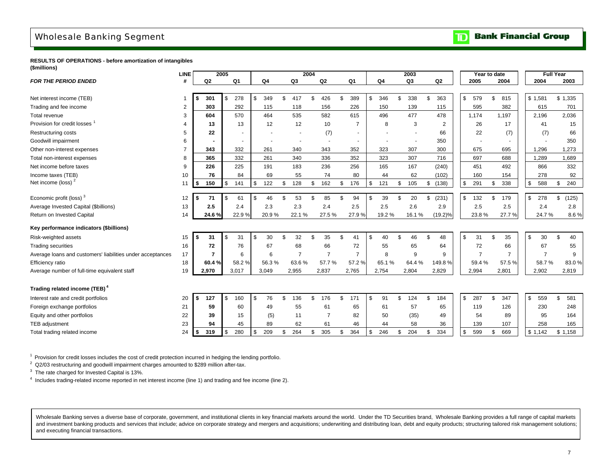## <span id="page-9-0"></span>Wholesale Banking Segment



**RESULTS OF OPERATIONS - before amortization of intangibles (\$millions)**

|                                                            | <b>LINE</b>    |                | 2005          |                |                |                | 2004 |                |                |           | 2003           |                |    | Year to date   |                |                | <b>Full Year</b> |
|------------------------------------------------------------|----------------|----------------|---------------|----------------|----------------|----------------|------|----------------|----------------|-----------|----------------|----------------|----|----------------|----------------|----------------|------------------|
| <b>FOR THE PERIOD ENDED</b>                                | #              | Q <sub>2</sub> |               | Q <sub>1</sub> | Q <sub>4</sub> | Q <sub>3</sub> |      | Q2             | Q <sub>1</sub> | Q4        | Q <sub>3</sub> | Q <sub>2</sub> |    | 2005           | 2004           | 2004           | 2003             |
|                                                            |                |                |               |                |                |                |      |                |                |           |                |                |    |                |                |                |                  |
| Net interest income (TEB)                                  |                | 301<br>£.      | \$            | 278            | \$<br>349      | \$<br>417      | £.   | 426            | \$<br>389      | \$<br>346 | \$<br>338      | 363            | \$ | 579            | \$<br>815      | \$1,581        | \$1,335          |
| Trading and fee income                                     | $\overline{2}$ | 303            |               | 292            | 115            | 118            |      | 156            | 226            | 150       | 139            | 115            |    | 595            | 382            | 615            | 701              |
| Total revenue                                              | 3              | 604            |               | 570            | 464            | 535            |      | 582            | 615            | 496       | 477            | 478            |    | 1,174          | 1,197          | 2,196          | 2,036            |
| Provision for credit losses                                |                | 13             |               | 13             | 12             | 12             |      | 10             | $\overline{7}$ | 8         | 3              | $\overline{2}$ |    | 26             | 17             | 41             | 15               |
| Restructuring costs                                        |                | 22             |               |                |                |                |      | (7)            | $\blacksquare$ |           |                | 66             |    | 22             | (7)            | (7)            | 66               |
| Goodwill impairment                                        | 6              |                |               |                |                |                |      | $\blacksquare$ | $\blacksquare$ |           | ٠              | 350            |    |                |                |                | 350              |
| Other non-interest expenses                                |                | 343            |               | 332            | 261            | 340            |      | 343            | 352            | 323       | 307            | 300            |    | 675            | 695            | 1,296          | 1,273            |
| Total non-interest expenses                                | 8              | 365            |               | 332            | 261            | 340            |      | 336            | 352            | 323       | 307            | 716            |    | 697            | 688            | 1.289          | 1.689            |
| Net income before taxes                                    | 9              | 226            |               | 225            | 191            | 183            |      | 236            | 256            | 165       | 167            | (240)          |    | 451            | 492            | 866            | 332              |
| Income taxes (TEB)                                         | 10             | 76             |               | 84             | 69             | 55             |      | 74             | 80             | 44        | 62             | (102)          |    | 160            | 154            | 278            | 92               |
| Net income (loss) $2$                                      | 11             | 150<br>\$      | \$            | 141            | \$<br>122      | \$<br>128      | \$   | 162            | \$<br>176      | \$<br>121 | \$<br>105      | (138)<br>\$    | \$ | 291            | \$<br>338      | \$<br>588      | \$<br>240        |
|                                                            |                |                |               |                |                |                |      |                |                |           |                |                |    |                |                |                |                  |
| Economic profit (loss) <sup>3</sup>                        | 12             | 71<br>\$       | <sup>\$</sup> | 61             | \$<br>46       | \$<br>53       |      | 85             | 94             | \$<br>39  | \$<br>20       | (231)          | S. | 132            | \$<br>179      | \$<br>278      | \$<br>(125)      |
| Average Invested Capital (\$billions)                      | 13             | 2.5            |               | 2.4            | 2.3            | 2.3            |      | 2.4            | 2.5            | 2.5       | 2.6            | 2.9            |    | 2.5            | 2.5            | 2.4            | 2.8              |
| Return on Invested Capital                                 | 14             | 24.6%          |               | 22.9%          | 20.9%          | 22.1%          |      | 27.5%          | 27.9%          | 19.2%     | 16.1%          | $(19.2)\%$     |    | 23.8%          | 27.7%          | 24.7%          | 8.6%             |
| Key performance indicators (\$billions)                    |                |                |               |                |                |                |      |                |                |           |                |                |    |                |                |                |                  |
| Risk-weighted assets                                       | 15             | 31<br>- \$     | <sup>\$</sup> | 31             | \$<br>30       | \$<br>32       | \$.  | 35             | \$<br>41       | \$<br>40  | \$<br>46       | 48             | \$ | 31             | \$<br>35       | \$<br>30       | \$<br>40         |
| <b>Trading securities</b>                                  | 16             | 72             |               | 76             | 67             | 68             |      | 66             | 72             | 55        | 65             | 64             |    | 72             | 66             | 67             | 55               |
| Average loans and customers' liabilities under acceptances | 17             | 7              |               | 6              | 6              | $\overline{7}$ |      | $\overline{7}$ | $\overline{7}$ | 8         | 9              | 9              |    | $\overline{7}$ | $\overline{7}$ | $\overline{7}$ | 9                |
| Efficiency ratio                                           | 18             | 60.4%          |               | 58.2%          | 56.3%          | 63.6%          |      | 57.7%          | 57.2 %         | 65.1%     | 64.4%          | 149.8%         |    | 59.4%          | 57.5%          | 58.7%          | 83.0%            |
| Average number of full-time equivalent staff               | 19             | 2,970          |               | 3,017          | 3,049          | 2,955          |      | 2,837          | 2,765          | 2,754     | 2,804          | 2,829          |    | 2,994          | 2,801          | 2,902          | 2,819            |
|                                                            |                |                |               |                |                |                |      |                |                |           |                |                |    |                |                |                |                  |
| Trading related income (TEB) <sup>4</sup>                  |                |                |               |                |                |                |      |                |                |           |                |                |    |                |                |                |                  |
| Interest rate and credit portfolios                        | 20             | 127<br>S       | <sup>\$</sup> | 160            | \$<br>76       | \$<br>136      | \$   | 176            | \$<br>171      | \$<br>91  | \$<br>124      | 184<br>£.      | \$ | 287            | \$<br>347      | \$<br>559      | 581<br>\$        |
| Foreign exchange portfolios                                | 21             | 59             |               | 60             | 49             | 55             |      | 61             | 65             | 61        | 57             | 65             |    | 119            | 126            | 230            | 248              |
| Equity and other portfolios                                | 22             | 39             |               | 15             | (5)            | 11             |      | 7              | 82             | 50        | (35)           | 49             |    | 54             | 89             | 95             | 164              |
| <b>TEB</b> adjustment                                      | 23             | 94             |               | 45             | 89             | 62             |      | 61             | 46             | 44        | 58             | 36             |    | 139            | 107            | 258            | 165              |
| Total trading related income                               | 24             | 319<br>\$      | \$            | 280            | \$<br>209      | \$<br>264      | \$   | 305            | \$<br>364      | \$<br>246 | \$<br>204      | 334<br>\$      | S. | 599            | \$<br>669      | \$1.142        | \$1.158          |

<sup>1</sup> Provision for credit losses includes the cost of credit protection incurred in hedging the lending portfolio.

<sup>2</sup> Q2/03 restructuring and goodwill impairment charges amounted to \$289 million after-tax.

<sup>3</sup> The rate charged for Invested Capital is 13%.

4 Includes trading-related income reported in net interest income (line 1) and trading and fee income (line 2).

Wholesale Banking serves a diverse base of corporate, government, and institutional clients in key financial markets around the world. Under the TD Securities brand, Wholesale Banking provides a full range of capital marke and investment banking products and services that include; advice on corporate strategy and mergers and acquisitions; underwriting and distributing loan, debt and equity products; structuring tailored risk management solut and executing financial transactions.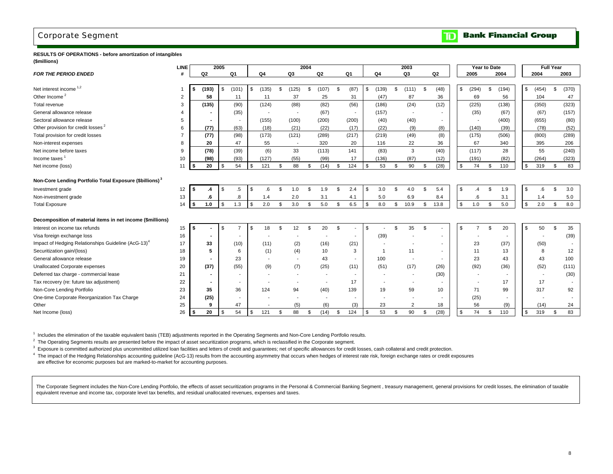## <span id="page-10-0"></span>Corporate Segment

#### **Bank Financial Group** כד

**RESULTS OF OPERATIONS - before amortization of intangibles (\$millions)**

|                                                                     | LINE           |      |                          | 2005 |                          |    |                          |                          | 2004 |                          |      |                          |    |                |     | 2003                     |          |                          | <b>Year to Date</b>  |                |       |    |                          | <b>Full Year</b> |       |
|---------------------------------------------------------------------|----------------|------|--------------------------|------|--------------------------|----|--------------------------|--------------------------|------|--------------------------|------|--------------------------|----|----------------|-----|--------------------------|----------|--------------------------|----------------------|----------------|-------|----|--------------------------|------------------|-------|
| <b>FOR THE PERIOD ENDED</b>                                         | #              |      | Q2                       |      | Q1                       |    | Q4                       | Q3                       |      | Q <sub>2</sub>           |      | Q1                       |    | Q4             |     | Q3                       |          | Q2                       | 2005                 |                | 2004  |    | 2004                     |                  | 2003  |
|                                                                     |                |      |                          |      |                          |    |                          |                          |      |                          |      |                          |    |                |     |                          |          |                          |                      |                |       |    |                          |                  |       |
| Net interest income $1,2$                                           |                | \$   | (193)                    | \$   | (101)                    | \$ | (135)                    | \$<br>(125)              | \$   | (107)                    | - \$ | (87)                     | \$ | (139)          | \$  | (111)                    | \$       | (48)                     | \$<br>(294)          | \$             | (194) | \$ | (454)                    | \$               | (370) |
| Other Income <sup>2</sup>                                           | 2              |      | 58                       |      | 11                       |    | 11                       | 37                       |      | 25                       |      | 31                       |    | (47)           |     | 87                       |          | 36                       | 69                   |                | 56    |    | 104                      |                  | 47    |
| Total revenue                                                       | 3              |      | (135)                    |      | (90)                     |    | (124)                    | (88)                     |      | (82)                     |      | (56)                     |    | (186)          |     | (24)                     |          | (12)                     | (225)                |                | (138) |    | (350)                    |                  | (323) |
| General allowance release                                           |                |      |                          |      | (35)                     |    |                          | $\overline{\phantom{a}}$ |      | (67)                     |      |                          |    | (157)          |     |                          |          |                          | (35)                 |                | (67)  |    | (67)                     |                  | (157) |
| Sectoral allowance release                                          | 5              |      |                          |      |                          |    | (155)                    | (100)                    |      | (200)                    |      | (200)                    |    | (40)           |     | (40)                     |          |                          |                      |                | (400) |    | (655)                    |                  | (80)  |
| Other provision for credit losses <sup>2</sup>                      | 6              |      | (77)                     |      | (63)                     |    | (18)                     | (21)                     |      | (22)                     |      | (17)                     |    | (22)           |     | (9)                      |          | (8)                      | (140)                |                | (39)  |    | (78)                     |                  | (52)  |
| Total provision for credit losses                                   | $\overline{7}$ |      | (77)                     |      | (98)                     |    | (173)                    | (121)                    |      | (289)                    |      | (217)                    |    | (219)          |     | (49)                     |          | (8)                      | (175)                |                | (506) |    | (800)                    |                  | (289) |
| Non-interest expenses                                               | 8              |      | 20                       |      | 47                       |    | 55                       | $\overline{\phantom{a}}$ |      | 320                      |      | 20                       |    | 116            |     | 22                       |          | 36                       | 67                   |                | 340   |    | 395                      |                  | 206   |
| Net income before taxes                                             | 9              |      | (78)                     |      | (39)                     |    | (6)                      | 33                       |      | (113)                    |      | 141                      |    | (83)           |     | 3                        |          | (40)                     | (117)                |                | 28    |    | 55                       |                  | (240) |
| Income taxes <sup>1</sup>                                           | 10             |      | (98)                     |      | (93)                     |    | (127)                    | (55)                     |      | (99)                     |      | 17                       |    | (136)          |     | (87)                     |          | (12)                     | (191)                |                | (82)  |    | (264)                    |                  | (323) |
| Net income (loss)                                                   | 11             | Ŝ.   | 20                       | \$   | 54                       | S. | 121                      | 88                       | \$.  | (14)                     | -S   | 124                      | \$ | 53             | Ŝ.  | 90                       | <b>S</b> | (28)                     | \$<br>74             | $\mathfrak{L}$ | 110   | S. | 319                      | \$               | 83    |
|                                                                     |                |      |                          |      |                          |    |                          |                          |      |                          |      |                          |    |                |     |                          |          |                          |                      |                |       |    |                          |                  |       |
| Non-Core Lending Portfolio Total Exposure (\$billions) <sup>3</sup> |                |      |                          |      |                          |    |                          |                          |      |                          |      |                          |    |                |     |                          |          |                          |                      |                |       |    |                          |                  |       |
| Investment grade                                                    | 12             | l \$ | .4                       | \$   | $.5\,$                   | \$ | .6                       | \$<br>1.0                | \$   | 1.9                      | \$   | 2.4                      | \$ | 3.0            | \$  | 4.0                      | \$       | 5.4                      | \$<br>$\overline{4}$ | \$             | 1.9   | \$ | .6                       | \$               | 3.0   |
| Non-investment grade                                                | 13             |      | .6                       |      | 8.                       |    | 1.4                      | 2.0                      |      | 3.1                      |      | 4.1                      |    | 5.0            |     | 6.9                      |          | 8.4                      | .6                   |                | 3.1   |    | 1.4                      |                  | 5.0   |
| <b>Total Exposure</b>                                               | 14             | \$   | 1.0                      | \$   | 1.3                      | \$ | 2.0                      | \$<br>3.0                | \$   | 5.0                      | \$   | 6.5                      | \$ | 8.0            | \$  | 10.9                     | \$       | 13.8                     | \$<br>1.0            | \$             | 5.0   | \$ | 2.0                      | \$               | 8.0   |
|                                                                     |                |      |                          |      |                          |    |                          |                          |      |                          |      |                          |    |                |     |                          |          |                          |                      |                |       |    |                          |                  |       |
| Decomposition of material items in net income (\$millions)          |                |      |                          |      |                          |    |                          |                          |      |                          |      |                          |    |                |     |                          |          |                          |                      |                |       |    |                          |                  |       |
| Interest on income tax refunds                                      | 15             | \$   |                          | \$   | $\overline{7}$           | \$ | 18                       | 12                       | \$   | 20                       | \$   |                          | \$ |                | £.  | 35                       | \$       | $\overline{\phantom{0}}$ | \$                   | $\mathfrak{L}$ | 20    | \$ | 50                       | \$               | 35    |
| Visa foreign exchange loss                                          | 16             |      | $\blacksquare$           |      |                          |    |                          |                          |      |                          |      |                          |    | (39)           |     |                          |          |                          |                      |                |       |    |                          |                  | (39)  |
| Impact of Hedging Relationships Guideline (AcG-13) <sup>4</sup>     | 17             |      | 33                       |      | (10)                     |    | (11)                     | (2)                      |      | (16)                     |      | (21)                     |    |                |     |                          |          |                          | 23                   |                | (37)  |    | (50)                     |                  |       |
| Securitization gain/(loss)                                          | 18             |      | 5                        |      | 6                        |    | (1)                      | (4)                      |      | 10                       |      | 3                        |    | $\overline{1}$ |     | 11                       |          |                          | 11                   |                | 13    |    | 8                        |                  | 12    |
| General allowance release                                           | 19             |      | $\overline{\phantom{a}}$ |      | 23                       |    | $\overline{\phantom{a}}$ | $\tilde{\phantom{a}}$    |      | 43                       |      | $\overline{\phantom{a}}$ |    | 100            |     | $\overline{\phantom{a}}$ |          |                          | 23                   |                | 43    |    | 43                       |                  | 100   |
| Unallocated Corporate expenses                                      | 20             |      | (37)                     |      | (55)                     |    | (9)                      | (7)                      |      | (25)                     |      | (11)                     |    | (51)           |     | (17)                     |          | (26)                     | (92)                 |                | (36)  |    | (52)                     |                  | (111) |
| Deferred tax charge - commercial lease                              | 21             |      | $\overline{\phantom{a}}$ |      | $\sim$                   |    |                          | $\overline{\phantom{a}}$ |      | $\overline{\phantom{a}}$ |      |                          |    |                |     |                          |          | (30)                     |                      |                |       |    | $\overline{\phantom{a}}$ |                  | (30)  |
| Tax recovery (re: future tax adjustment)                            | 22             |      | $\sim$                   |      | $\overline{\phantom{a}}$ |    |                          | $\blacksquare$           |      | $\overline{\phantom{a}}$ |      | 17                       |    |                |     | $\overline{\phantom{a}}$ |          |                          |                      |                | 17    |    | 17                       |                  |       |
| Non-Core Lending Portfolio                                          | 23             |      | 35                       |      | 36                       |    | 124                      | 94                       |      | (40)                     |      | 139                      |    | 19             |     | 59                       |          | 10                       | 71                   |                | 99    |    | 317                      |                  | 92    |
| One-time Corporate Reorganization Tax Charge                        | 24             |      | (25)                     |      | $\overline{\phantom{a}}$ |    |                          | $\blacksquare$           |      | $\overline{\phantom{a}}$ |      |                          |    |                |     | $\blacksquare$           |          |                          | (25)                 |                |       |    | $\overline{\phantom{a}}$ |                  |       |
| Other                                                               | 25             |      | 9                        |      | 47                       |    |                          | (5)                      |      | (6)                      |      | (3)                      |    | 23             |     | $\overline{2}$           |          | 18                       | 56                   |                | (9)   |    | (14)                     |                  | 24    |
| Net Income (loss)                                                   | 26             | \$   | 20                       | \$   | 54                       | \$ | 121                      | 88                       | -S   | (14)                     | \$   | 124                      | -S | 53             | \$. | 90                       | \$       | (28)                     | \$<br>74             | \$             | 110   | \$ | 319                      | \$               | 83    |

<sup>1</sup> Includes the elimination of the taxable equivalent basis (TEB) adjustments reported in the Operating Segments and Non-Core Lending Portfolio results.

<sup>2</sup> The Operating Segments results are presented before the impact of asset securitization programs, which is reclassified in the Corporate segment.

<sup>3</sup> Exposure is committed authorized plus uncommitted utilized loan facilities and letters of credit and guarantees; net of specific allowances for credit losses, cash collateral and credit protection.

<sup>4</sup> The impact of the Hedging Relationships accounting guideline (AcG-13) results from the accounting asymmetry that occurs when hedges of interest rate risk, foreign exchange rates or credit exposures are effective for economic purposes but are marked-to-market for accounting purposes.

The Corporate Segment includes the Non-Core Lending Portfolio, the effects of asset securitization programs in the Personal & Commercial Banking Segment, treasury management, general provisions for credit losses, the elimi equivalent revenue and income tax, corporate level tax benefits, and residual unallocated revenues, expenses and taxes.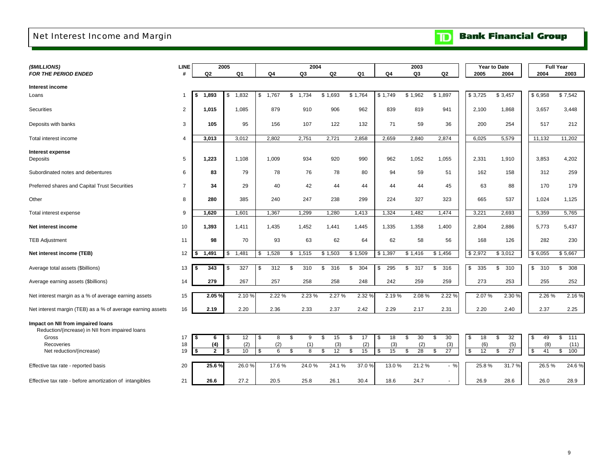## <span id="page-11-0"></span>Net Interest Income and Margin

# **TD** Bank Financial Group

| (\$MILLIONS)                                               | <b>LINE</b>    |              | 2005        |                        | 2004        |           |           |                | 2003      |           |           | Year to Date |                 | <b>Full Year</b> |
|------------------------------------------------------------|----------------|--------------|-------------|------------------------|-------------|-----------|-----------|----------------|-----------|-----------|-----------|--------------|-----------------|------------------|
| <b>FOR THE PERIOD ENDED</b>                                | #              | Q2           | Q1          | Q4                     | Q3          | Q2        | Q1        | Q <sub>4</sub> | Q3        | Q2        | 2005      | 2004         | 2004            | 2003             |
|                                                            |                |              |             |                        |             |           |           |                |           |           |           |              |                 |                  |
| Interest income                                            |                |              |             |                        |             |           |           |                |           |           |           |              |                 |                  |
| Loans                                                      | -1             | 1,893<br>s   | 1,832<br>\$ | $\mathsf{\$}$<br>1,767 | 1,734<br>\$ | \$1,693   | \$1,764   | \$1,749        | \$1,962   | \$1,897   | \$3,725   | \$3,457      | \$6,958         | \$7,542          |
| <b>Securities</b>                                          | 2              | 1,015        | 1,085       | 879                    | 910         | 906       | 962       | 839            | 819       | 941       | 2,100     | 1,868        | 3,657           | 3,448            |
|                                                            |                |              |             |                        |             |           |           |                |           |           |           |              |                 |                  |
| Deposits with banks                                        | 3              | 105          | 95          | 156                    | 107         | 122       | 132       | 71             | 59        | 36        | 200       | 254          | 517             | 212              |
|                                                            |                |              |             |                        |             |           |           |                |           |           |           |              |                 |                  |
| Total interest income                                      | 4              | 3,013        | 3,012       | 2,802                  | 2,751       | 2,721     | 2,858     | 2,659          | 2,840     | 2,874     | 6,025     | 5,579        | 11,132          | 11,202           |
| <b>Interest expense</b>                                    |                |              |             |                        |             |           |           |                |           |           |           |              |                 |                  |
| Deposits                                                   | 5              | 1,223        | 1,108       | 1,009                  | 934         | 920       | 990       | 962            | 1,052     | 1,055     | 2,331     | 1,910        | 3,853           | 4,202            |
|                                                            |                |              |             |                        |             |           |           |                |           |           |           |              |                 |                  |
| Subordinated notes and debentures                          | 6              | 83           | 79          | 78                     | 76          | 78        | 80        | 94             | 59        | 51        | 162       | 158          | 312             | 259              |
|                                                            |                |              |             |                        |             |           |           |                |           |           |           |              |                 |                  |
| Preferred shares and Capital Trust Securities              | $\overline{7}$ | 34           | 29          | 40                     | 42          | 44        | 44        | 44             | 44        | 45        | 63        | 88           | 170             | 179              |
| Other                                                      | 8              | 280          | 385         | 240                    | 247         | 238       | 299       | 224            | 327       | 323       | 665       | 537          | 1,024           | 1,125            |
|                                                            |                |              |             |                        |             |           |           |                |           |           |           |              |                 |                  |
| Total interest expense                                     | 9              | 1,620        | 1,601       | 1,367                  | 1,299       | 1,280     | 1,413     | 1,324          | 1,482     | 1,474     | 3,221     | 2,693        | 5,359           | 5,765            |
|                                                            |                |              |             |                        |             |           |           |                |           |           |           |              |                 |                  |
| Net interest income                                        | 10             | 1,393        | 1,411       | 1,435                  | 1,452       | 1,441     | 1,445     | 1,335          | 1,358     | 1,400     | 2,804     | 2,886        | 5,773           | 5,437            |
| <b>TEB Adjustment</b>                                      | 11             | 98           | 70          | 93                     | 63          | 62        | 64        | 62             | 58        | 56        | 168       | 126          | 282             | 230              |
|                                                            |                |              |             |                        |             |           |           |                |           |           |           |              |                 |                  |
| Net interest income (TEB)                                  | 12             | 1,491        | 1,481<br>\$ | \$<br>1,528            | 1,515<br>\$ | \$1,503   | \$1,509   | \$1,397        | \$1,416   | \$1,456   | \$2,972   | \$3,012      | \$6,055         | \$5,667          |
|                                                            |                |              |             |                        |             |           |           |                |           |           |           |              |                 |                  |
| Average total assets (\$billions)                          | 13             | 343<br>\$    | 327<br>-\$  | 312<br>\$              | \$<br>310   | 316<br>\$ | \$<br>304 | 295<br>\$      | 317<br>\$ | 316<br>\$ | \$<br>335 | \$<br>310    | \$<br>310       | \$<br>308        |
|                                                            | 14             | 279          | 267         |                        | 258         | 258       | 248       | 242            | 259       | 259       | 273       | 253          | 255             | 252              |
| Average earning assets (\$billions)                        |                |              |             | 257                    |             |           |           |                |           |           |           |              |                 |                  |
| Net interest margin as a % of average earning assets       | 15             | 2.05 %       | 2.10%       | 2.22 %                 | 2.23 %      | 2.27 %    | 2.32 %    | 2.19%          | 2.08%     | 2.22 %    | 2.07%     | 2.30 %       | 2.26 %          | 2.16%            |
|                                                            |                |              |             |                        |             |           |           |                |           |           |           |              |                 |                  |
| Net interest margin (TEB) as a % of average earning assets | 16             | 2.19         | 2.20        | 2.36                   | 2.33        | 2.37      | 2.42      | 2.29           | 2.17      | 2.31      | 2.20      | 2.40         | 2.37            | 2.25             |
|                                                            |                |              |             |                        |             |           |           |                |           |           |           |              |                 |                  |
| Impact on NII from impaired loans                          |                |              |             |                        |             |           |           |                |           |           |           |              |                 |                  |
| Reduction/(increase) in NII from impaired loans            | 17             | \$           | 12          | \$                     | \$<br>9     | \$<br>15  | \$<br>17  | \$<br>18       | 30        | \$<br>30  | \$        | \$<br>32     |                 | \$<br>111        |
| Gross<br>Recoveries                                        | 18             | 6<br>(4)     | - \$<br>(2) | 8<br>(2)               | (1)         | (3)       | (2)       | (3)            | \$<br>(2) | (3)       | 18<br>(6) | (5)          | \$<br>49<br>(8) | (11)             |
| Net reduction/(increase)                                   | 19             | $\mathbf{2}$ | 10          | 6<br>\$                | \$<br>8     | \$<br>12  | 15<br>\$  | 15<br>\$       | 28<br>\$  | \$<br>27  | \$<br>12  | 27<br>\$     | 41<br>\$        | \$<br>100        |
|                                                            |                |              |             |                        |             |           |           |                |           |           |           |              |                 |                  |
| Effective tax rate - reported basis                        | 20             | 25.6%        | 26.0%       | 17.6%                  | 24.0%       | 24.1%     | 37.0 %    | 13.0 %         | 21.2%     | $-$ %     | 25.8%     | 31.7%        | 26.5%           | 24.6%            |
|                                                            |                |              |             |                        |             |           |           |                |           |           |           |              |                 |                  |
| Effective tax rate - before amortization of intangibles    | 21             | 26.6         | 27.2        | 20.5                   | 25.8        | 26.1      | 30.4      | 18.6           | 24.7      |           | 26.9      | 28.6         | 26.0            | 28.9             |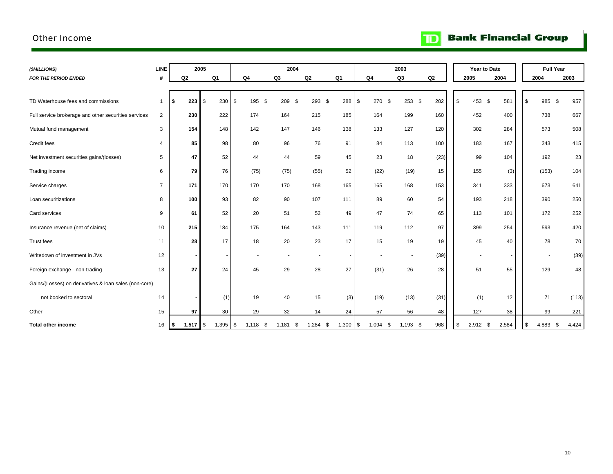### <span id="page-12-0"></span>Other Income

**Bank Financial Group**  $\mathbf{D}$ 

| (\$MILLIONS)                                          | <b>LINE</b>    | 2005           |                          |                    | 2004               |                |                |                   | 2003                     |      |      | Year to Date             | <b>Full Year</b>  |       |
|-------------------------------------------------------|----------------|----------------|--------------------------|--------------------|--------------------|----------------|----------------|-------------------|--------------------------|------|------|--------------------------|-------------------|-------|
| FOR THE PERIOD ENDED                                  | #              | Q <sub>2</sub> | Q <sub>1</sub>           | Q <sub>4</sub>     | Q3                 | Q <sub>2</sub> | Q <sub>1</sub> | Q4                | Q3                       | Q2   | 2005 | 2004                     | 2004              | 2003  |
|                                                       |                |                |                          |                    |                    |                |                |                   |                          |      |      |                          |                   |       |
| TD Waterhouse fees and commissions                    |                | 223<br>\$      | \$<br>230                | \$<br>195          | 209<br>\$<br>- \$  | $293$ \$       | 288            | 270<br>\$<br>- \$ | $253$ \$                 | 202  | \$   | 581<br>453 \$            | \$<br>985 \$      | 957   |
| Full service brokerage and other securities services  | $\overline{2}$ | 230            | 222                      | 174                | 164                | 215            | 185            | 164               | 199                      | 160  |      | 452<br>400               | 738               | 667   |
| Mutual fund management                                | 3              | 154            | 148                      | 142                | 147                | 146            | 138            | 133               | 127                      | 120  |      | 284<br>302               | 573               | 508   |
| Credit fees                                           | 4              | 85             | 98                       | 80                 | 96                 | 76             | 91             | 84                | 113                      | 100  |      | 167<br>183               | 343               | 415   |
| Net investment securities gains/(losses)              | 5              | 47             | 52                       | 44                 | 44                 | 59             | 45             | 23                | 18                       | (23) |      | 104<br>99                | 192               | 23    |
| Trading income                                        | 6              | 79             | 76                       | (75)               | (75)               | (55)           | 52             | (22)              | (19)                     | 15   |      | 155<br>(3)               | (153)             | 104   |
| Service charges                                       | $\overline{7}$ | 171            | 170                      | 170                | 170                | 168            | 165            | 165               | 168                      | 153  |      | 341<br>333               | 673               | 641   |
| Loan securitizations                                  | 8              | 100            | 93                       | 82                 | 90                 | 107            | 111            | 89                | 60                       | 54   |      | 193<br>218               | 390               | 250   |
| Card services                                         | 9              | 61             | 52                       | 20                 | 51                 | 52             | 49             | 47                | 74                       | 65   |      | 101<br>113               | 172               | 252   |
| Insurance revenue (net of claims)                     | 10             | 215            | 184                      | 175                | 164                | 143            | 111            | 119               | 112                      | 97   |      | 399<br>254               | 593               | 420   |
| Trust fees                                            | 11             | 28             | 17                       | 18                 | 20                 | 23             | 17             | 15                | 19                       | 19   |      | 45<br>40                 | 78                | 70    |
| Writedown of investment in JVs                        | 12             | $\blacksquare$ | $\overline{\phantom{a}}$ |                    |                    |                |                |                   | $\overline{\phantom{a}}$ | (39) |      | $\overline{\phantom{a}}$ |                   | (39)  |
| Foreign exchange - non-trading                        | 13             | 27             | 24                       | 45                 | 29                 | 28             | 27             | (31)              | 26                       | 28   |      | 51<br>55                 | 129               | 48    |
| Gains/(Losses) on derivatives & loan sales (non-core) |                |                |                          |                    |                    |                |                |                   |                          |      |      |                          |                   |       |
| not booked to sectoral                                | 14             |                | (1)                      | 19                 | 40                 | 15             | (3)            | (19)              | (13)                     | (31) |      | (1)<br>12                | 71                | (113) |
| Other                                                 | 15             | 97             | 30                       | 29                 | 32                 | 14             | 24             | 57                | 56                       | 48   |      | 127<br>38                | 99                | 221   |
| <b>Total other income</b>                             | 16             | l \$           | 1,395                    | <b>\$</b><br>1,118 | 1,181<br>S.<br>- 5 | 1,284<br>\$    | $1,300$ \$     | 1,094<br>-\$      | $1,193$ \$               | 968  | \$   | $2,912$ \$<br>2,584      | 4,883<br>\$<br>\$ | 4,424 |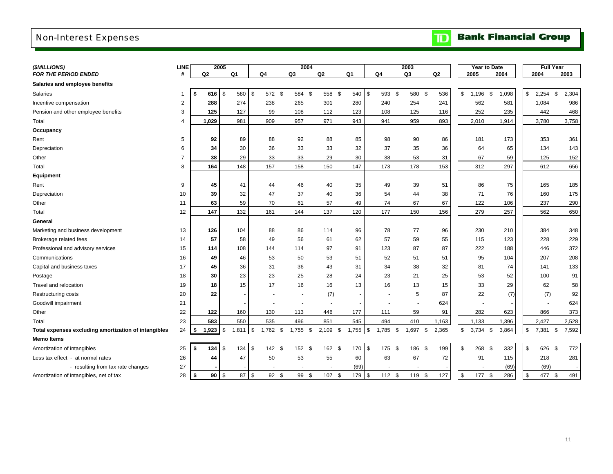## <span id="page-13-0"></span>Non-Interest Expenses

|  |  | <b>TD</b> Bank Financial Group |  |
|--|--|--------------------------------|--|
|--|--|--------------------------------|--|

| (\$MILLIONS)                                         | <b>LINE</b>    |     | 2005           |            |       |            |            | 2004           |    |            |            |               |                          |      | 2003        |                | Year to Date     |            |       |            | <b>Full Year</b> |             |
|------------------------------------------------------|----------------|-----|----------------|------------|-------|------------|------------|----------------|----|------------|------------|---------------|--------------------------|------|-------------|----------------|------------------|------------|-------|------------|------------------|-------------|
| <b>FOR THE PERIOD ENDED</b>                          | #              |     | Q <sub>2</sub> |            | Q1    |            | Q4         | Q <sub>3</sub> | Q2 |            | Q1         |               | Q4                       |      | Q3          | Q <sub>2</sub> | 2005             |            | 2004  |            | 2004             | 2003        |
| Salaries and employee benefits                       |                |     |                |            |       |            |            |                |    |            |            |               |                          |      |             |                |                  |            |       |            |                  |             |
| Salaries                                             | 1              | \$  | 616            | $\sqrt{3}$ | 580   | \$         | 572 \$     | 584 \$         |    | 558 \$     | 540        | \$            | 593 \$                   |      | 580 \$      | 536            | \$<br>1,196      | $\sqrt{3}$ | 1,098 | \$         | $2,254$ \$       | 2,304       |
| Incentive compensation                               | $\overline{c}$ |     | 288            |            | 274   |            | 238        | 265            |    | 301        | 280        |               | 240                      |      | 254         | 241            | 562              |            | 581   |            | 1,084            | 986         |
| Pension and other employee benefits                  | 3              |     | 125            |            | 127   |            | 99         | 108            |    | 112        | 123        |               | 108                      |      | 125         | 116            | 252              |            | 235   |            | 442              | 468         |
| Total                                                | 4              |     | 1,029          |            | 981   |            | 909        | 957            |    | 971        | 943        |               | 941                      |      | 959         | 893            | 2,010            |            | 1,914 |            | 3,780            | 3,758       |
| Occupancy                                            |                |     |                |            |       |            |            |                |    |            |            |               |                          |      |             |                |                  |            |       |            |                  |             |
| Rent                                                 | 5              |     | 92             |            | 89    |            | 88         | 92             |    | 88         | 85         |               | 98                       |      | 90          | 86             | 181              |            | 173   |            | 353              | 361         |
| Depreciation                                         | 6              |     | 34             |            | 30    |            | 36         | 33             |    | 33         | 32         |               | 37                       |      | 35          | 36             | 64               |            | 65    |            | 134              | 143         |
| Other                                                | $\overline{7}$ |     | 38             |            | 29    |            | 33         | 33             |    | 29         | 30         |               | 38                       |      | 53          | 31             | 67               |            | 59    |            | 125              | 152         |
| Total                                                | 8              |     | 164            |            | 148   |            | 157        | 158            |    | 150        | 147        |               | 173                      |      | 178         | 153            | 312              |            | 297   |            | 612              | 656         |
| Equipment                                            |                |     |                |            |       |            |            |                |    |            |            |               |                          |      |             |                |                  |            |       |            |                  |             |
| Rent                                                 | 9              |     | 45             |            | 41    |            | 44         | 46             |    | 40         | 35         |               | 49                       |      | 39          | 51             | 86               |            | 75    |            | 165              | 185         |
| Depreciation                                         | 10             |     | 39             |            | 32    |            | 47         | 37             |    | 40         | 36         |               | 54                       |      | 44          | 38             | 71               |            | 76    |            | 160              | 175         |
| Other                                                | 11             |     | 63             |            | 59    |            | 70         | 61             |    | 57         | 49         |               | 74                       |      | 67          | 67             | 122              |            | 106   |            | 237              | 290         |
| Total                                                | 12             |     | 147            |            | 132   |            | 161        | 144            |    | 137        | 120        |               | 177                      |      | 150         | 156            | 279              |            | 257   |            | 562              | 650         |
| General                                              |                |     |                |            |       |            |            |                |    |            |            |               |                          |      |             |                |                  |            |       |            |                  |             |
| Marketing and business development                   | 13             |     | 126            |            | 104   |            | 88         | 86             |    | 114        | 96         |               | 78                       |      | 77          | 96             | 230              |            | 210   |            | 384              | 348         |
| Brokerage related fees                               | 14             |     | 57             |            | 58    |            | 49         | 56             |    | 61         | 62         |               | 57                       |      | 59          | 55             | 115              |            | 123   |            | 228              | 229         |
| Professional and advisory services                   | 15             |     | 114            |            | 108   |            | 144        | 114            |    | 97         | 91         |               | 123                      |      | 87          | 87             | 222              |            | 188   |            | 446              | 372         |
| Communications                                       | 16             |     | 49             |            | 46    |            | 53         | 50             |    | 53         | 51         |               | 52                       |      | 51          | 51             | 95               |            | 104   |            | 207              | 208         |
| Capital and business taxes                           | 17             |     | 45             |            | 36    |            | 31         | 36             |    | 43         | 31         |               | 34                       |      | 38          | 32             | 81               |            | 74    |            | 141              | 133         |
| Postage                                              | 18             |     | 30             |            | 23    |            | 23         | 25             |    | 28         | 24         |               | 23                       |      | 21          | 25             | 53               |            | 52    |            | 100              | 91          |
| Travel and relocation                                | 19             |     | 18             |            | 15    |            | 17         | 16             |    | 16         | 13         |               | 16                       |      | 13          | 15             | 33               |            | 29    |            | 62               | 58          |
| Restructuring costs                                  | 20             |     | 22             |            |       |            |            |                |    | (7)        |            |               | $\overline{\phantom{a}}$ |      | $\mathbf 5$ | 87             | 22               |            | (7)   |            | (7)              | 92          |
| Goodwill impairment                                  | 21             |     |                |            |       |            |            |                |    |            |            |               |                          |      |             | 624            |                  |            |       |            | $\blacksquare$   | 624         |
| Other                                                | 22             |     | 122            |            | 160   |            | 130        | 113            |    | 446        | 177        |               | 111                      |      | 59          | 91             | 282              |            | 623   |            | 866              | 373         |
| Total                                                | 23             |     | 583            |            | 550   |            | 535        | 496            |    | 851        | 545        |               | 494                      |      | 410         | 1,163          | 1,133            |            | 1,396 |            | 2,427            | 2,528       |
| Total expenses excluding amortization of intangibles | 24             | \$  | 1,923          | \$         | 1,811 | \$         | $1,762$ \$ | 1,755 \$       |    | $2,109$ \$ | $1,755$ \$ |               | 1,785 \$                 |      | 1,697 \$    | 2,365          | \$<br>$3,734$ \$ |            | 3,864 | \$         | 7,381            | \$<br>7,592 |
| <b>Memo Items</b>                                    |                |     |                |            |       |            |            |                |    |            |            |               |                          |      |             |                |                  |            |       |            |                  |             |
| Amortization of intangibles                          | 25             | \$  | 134            | \$         | 134   | \$         | 142 \$     | 152 \$         |    | 162 \$     | 170        | $\sqrt{3}$    | 175                      | - \$ | 186 \$      | 199            | \$<br>268 \$     |            | 332   | \$         | 626 \$           | 772         |
| Less tax effect - at normal rates                    | 26             |     | 44             |            | 47    |            | 50         | 53             |    | 55         | 60         |               | 63                       |      | 67          | 72             | 91               |            | 115   |            | 218              | 281         |
| - resulting from tax rate changes                    | 27             |     |                |            |       |            |            |                |    |            | (69)       |               |                          |      |             |                |                  |            | (69)  |            | (69)             |             |
| Amortization of intangibles, net of tax              | 28             | ∣\$ | $90$   \$      |            | 87    | $\sqrt{3}$ | 92         | \$<br>99<br>\$ |    | 107 \$     | 179        | $\mathcal{S}$ | 112 \$                   |      | 119 \$      | 127            | \$<br>177 \$     |            | 286   | $\sqrt{3}$ | 477              | \$<br>491   |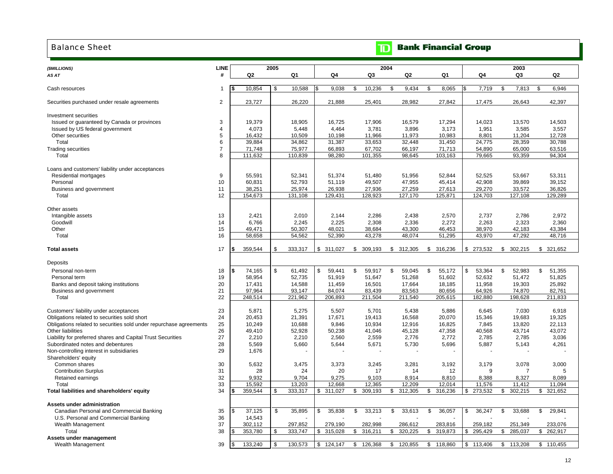### <span id="page-14-0"></span>Balance Sheet

### **Bank Financial Group**  $\mathbf{D}$

| (\$MILLIONS)                                                       | <b>LINE</b>         |                         | 2005 |                 |                 |                 | 2004            |     |                  |                |       | 2003            |                 |
|--------------------------------------------------------------------|---------------------|-------------------------|------|-----------------|-----------------|-----------------|-----------------|-----|------------------|----------------|-------|-----------------|-----------------|
| AS AT                                                              | #                   | Q2                      |      | Q1              | Q4              | Q3              | Q <sub>2</sub>  |     | Q1               | Q4             |       | Q3              | Q <sub>2</sub>  |
|                                                                    |                     |                         |      |                 |                 |                 |                 |     |                  |                |       |                 |                 |
| Cash resources                                                     | $\mathbf{1}$        | 10,854                  | \$   | 10,588          | 9,038           | \$<br>10,236    | 9,434<br>\$     | \$  | 8,065            | 7,719          |       | \$<br>7,813     | \$<br>6,946     |
| Securities purchased under resale agreements                       | $\overline{2}$      | 23,727                  |      | 26,220          | 21,888          | 25,401          | 28,982          |     | 27,842           | 17,475         |       | 26,643          | 42,397          |
|                                                                    |                     |                         |      |                 |                 |                 |                 |     |                  |                |       |                 |                 |
| Investment securities                                              |                     |                         |      |                 |                 |                 |                 |     |                  |                |       |                 |                 |
| Issued or guaranteed by Canada or provinces                        | 3<br>$\overline{4}$ | 19,379                  |      | 18,905          | 16,725          | 17,906          | 16,579          |     | 17,294           | 14,023         |       | 13,570          | 14,503          |
| Issued by US federal government<br>Other securities                | 5                   | 4,073<br>16,432         |      | 5,448<br>10,509 | 4,464<br>10,198 | 3,781<br>11,966 | 3,896<br>11,973 |     | 3,173            | 1,951<br>8,801 |       | 3,585<br>11,204 | 3,557<br>12,728 |
| Total                                                              | 6                   | 39,884                  |      | 34,862          | 31,387          | 33,653          | 32,448          |     | 10,983<br>31,450 | 24,775         |       | 28,359          | 30,788          |
| <b>Trading securities</b>                                          | $\overline{7}$      | 71.748                  |      | 75,977          | 66,893          | 67,702          | 66,197          |     | 71,713           | 54,890         |       | 65,000          | 63,516          |
| Total                                                              | 8                   | 111,632                 |      | 110,839         | 98,280          | 101,355         | 98,645          |     | 103,163          | 79,665         |       | 93,359          | 94,304          |
|                                                                    |                     |                         |      |                 |                 |                 |                 |     |                  |                |       |                 |                 |
| Loans and customers' liability under acceptances                   |                     |                         |      |                 |                 |                 |                 |     |                  |                |       |                 |                 |
| Residential mortgages                                              | 9                   | 55,591                  |      | 52,341          | 51,374          | 51,480          | 51,956          |     | 52,844           | 52,525         |       | 53,667          | 53,311          |
| Personal                                                           | 10                  | 60,831                  |      | 52,793          | 51,119          | 49,507          | 47,955          |     | 45,414           | 42,908         |       | 39,869          | 39,152          |
| Business and government                                            | 11                  | 38,251                  |      | 25,974          | 26,938          | 27,936          | 27,259          |     | 27,613           | 29,270         |       | 33,572          | 36,826          |
| Total                                                              | 12                  | 154,673                 |      | 131,108         | 129,431         | 128,923         | 127,170         |     | 125,871          | 124,703        |       | 127,108         | 129,289         |
|                                                                    |                     |                         |      |                 |                 |                 |                 |     |                  |                |       |                 |                 |
| Other assets                                                       |                     |                         |      |                 |                 |                 |                 |     |                  |                |       |                 |                 |
| Intangible assets                                                  | 13                  | 2,421                   |      | 2,010           | 2,144           | 2,286           | 2,438           |     | 2,570            | 2,737          |       | 2,786           | 2.972           |
| Goodwill                                                           | 14                  | 6,766                   |      | 2,245           | 2,225           | 2,308           | 2,336           |     | 2,272            | 2,263          |       | 2,323           | 2,360           |
| Other                                                              | 15                  | 49,471                  |      | 50,307          | 48,021          | 38,684          | 43,300          |     | 46,453           | 38,970         |       | 42,183          | 43,384          |
| Total                                                              | 16                  | 58,658                  |      | 54,562          | 52,390          | 43,278          | 48,074          |     | 51,295           | 43,970         |       | 47,292          | 48,716          |
| <b>Total assets</b>                                                | 17                  | 359,544<br>\$           | \$   | 333,317         | \$311,027       | \$<br>309,193   | \$312,305       |     | \$ 316,236       | \$ 273,532     |       | \$302,215       | \$321,652       |
|                                                                    |                     |                         |      |                 |                 |                 |                 |     |                  |                |       |                 |                 |
| Deposits                                                           |                     |                         |      |                 |                 |                 |                 |     |                  |                |       |                 |                 |
| Personal non-term                                                  | 18                  | <sup>\$</sup><br>74,165 | \$   | 61,492          | \$<br>59,441    | \$<br>59,917    | \$<br>59,045    | \$  | 55,172           | \$<br>53,364   |       | \$<br>52,983    | \$<br>51,355    |
| Personal term                                                      | 19                  | 58,954                  |      | 52,735          | 51,919          | 51,647          | 51,268          |     | 51,602           | 52,632         |       | 51,472          | 51,825          |
| Banks and deposit taking institutions                              | 20                  | 17,431                  |      | 14,588          | 11,459          | 16,501          | 17,664          |     | 18,185           | 11,958         |       | 19,303          | 25,892          |
| Business and government                                            | 21                  | 97,964                  |      | 93,147          | 84,074          | 83,439          | 83,563          |     | 80,656           | 64,926         |       | 74,870          | 82,761          |
| Total                                                              | 22                  | 248,514                 |      | 221,962         | 206,893         | 211,504         | 211,540         |     | 205,615          | 182,880        |       | 198,628         | 211,833         |
| Customers' liability under acceptances                             | 23                  | 5,871                   |      | 5,275           | 5,507           | 5,701           | 5,438           |     | 5,886            | 6,645          |       | 7,030           | 6,918           |
| Obligations related to securities sold short                       | 24                  | 20.453                  |      | 21,391          | 17.671          | 19,413          | 16,568          |     | 20,070           | 15,346         |       | 19.683          | 19,325          |
| Obligations related to securities sold under repurchase agreements | 25                  | 10,249                  |      | 10,688          | 9,846           | 10,934          | 12,916          |     | 16,825           | 7,845          |       | 13,820          | 22,113          |
| Other liabilities                                                  | 26                  | 49,410                  |      | 52,928          | 50,238          | 41,046          | 45,128          |     | 47,358           | 40,568         |       | 43,714          | 43,072          |
| Liability for preferred shares and Capital Trust Securities        | 27                  | 2,210                   |      | 2,210           | 2,560           | 2,559           | 2,776           |     | 2,772            | 2,785          |       | 2,785           | 3,036           |
| Subordinated notes and debentures                                  | 28                  | 5,569                   |      | 5,660           | 5,644           | 5,671           | 5,730           |     | 5,696            | 5,887          |       | 5,143           | 4,261           |
| Non-controlling interest in subsidiaries                           | 29                  | 1,676                   |      |                 |                 |                 |                 |     |                  |                |       |                 |                 |
| Shareholders' equity                                               |                     |                         |      |                 |                 |                 |                 |     |                  |                |       |                 |                 |
| Common shares                                                      | 30                  | 5,632                   |      | 3,475           | 3,373           | 3,245           | 3,281           |     | 3,192            |                | 3,179 | 3,078           | 3,000           |
| <b>Contribution Surplus</b>                                        | 31                  | 28                      |      | 24              | 20              | 17              | 14              |     | 12               |                | 9     | 7               | 5               |
| Retained earnings                                                  | 32                  | 9,932                   |      | 9,704           | 9,275           | 9,103           | 8,914           |     | 8,810            | 8,388          |       | 8,327           | 8,089           |
| Total                                                              | 33                  | 15,592                  |      | 13,203          | 12,668          | 12,365          | 12,209          |     | 12,014           | 11,576         |       | 11,412          | 11,094          |
| Total liabilities and shareholders' equity                         | 34                  | 359,544                 | \$   | 333,317         | 311,027<br>\$   | \$<br>309,193   | 312,305<br>\$   | \$. | 316,236          | 273,532<br>\$  |       | 302,215<br>\$   | \$<br>321,652   |
|                                                                    |                     |                         |      |                 |                 |                 |                 |     |                  |                |       |                 |                 |
| Assets under administration                                        |                     |                         |      |                 |                 |                 |                 |     |                  |                |       |                 |                 |
| Canadian Personal and Commercial Banking                           | 35                  | 37,125<br>\$            | \$   | 35,895          | 35,838<br>\$    | \$<br>33,213    | 33,613<br>\$    | \$  | 36,057           | 36,247<br>\$   |       | 33,688<br>\$    | \$<br>29,841    |
| U.S. Personal and Commercial Banking                               | 36                  | 14,543                  |      |                 |                 |                 |                 |     |                  |                |       |                 |                 |
| Wealth Management                                                  | 37                  | 302,112                 |      | 297,852         | 279,190         | 282,998         | 286,612         |     | 283,816          | 259,182        |       | 251,349         | 233,076         |
| Total                                                              | 38                  | 353,780                 | \$   | 333.747         | \$<br>315,028   | \$<br>316.211   | 320,225<br>\$   | \$  | 319,873          | \$<br>295.429  |       | 285.037<br>\$   | \$<br>262.917   |
| Assets under management                                            |                     |                         |      |                 |                 |                 |                 |     |                  |                |       |                 |                 |
| Wealth Management                                                  | 39                  | 133,240                 | \$   | 130,573         | \$<br>124,147   | \$<br>126,368   | 120,855<br>\$   | \$  | 118,860          | \$<br>113,406  |       | \$<br>113,208   | \$<br>110,455   |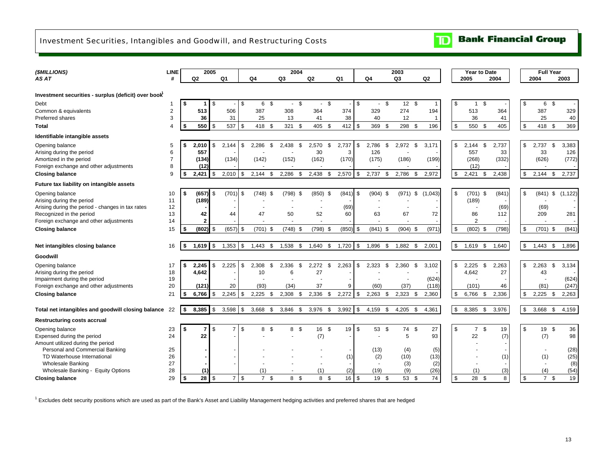## <span id="page-15-0"></span>Investment Securities, Intangibles and Goodwill, and Restructuring Costs

| (\$MILLIONS)                                                      | <b>LINE</b>         |      |                | 2005       |                |                      |       | 2004          |                |      |            |            |                      | 2003  |             |                | <b>Year to Date</b>  |             |             |                       | <b>Full Year</b> |              |
|-------------------------------------------------------------------|---------------------|------|----------------|------------|----------------|----------------------|-------|---------------|----------------|------|------------|------------|----------------------|-------|-------------|----------------|----------------------|-------------|-------------|-----------------------|------------------|--------------|
| AS AT                                                             | #                   |      | Q2             |            | Q <sub>1</sub> | Q4                   | Q3    |               | Q <sub>2</sub> |      | Q1         |            | Q4                   | Q3    |             | Q2             | 2005                 | 2004        |             | 2004                  |                  | 2003         |
|                                                                   |                     |      |                |            |                |                      |       |               |                |      |            |            |                      |       |             |                |                      |             |             |                       |                  |              |
| Investment securities - surplus (deficit) over book               |                     |      |                |            |                |                      |       |               |                |      |            |            |                      |       |             |                |                      |             |             |                       |                  |              |
| Debt                                                              |                     | -\$  | 1.             | -\$        |                | \$<br>6<br>- \$      |       | \$<br>$\sim$  | $\blacksquare$ | \$   |            | \$         | \$<br>$\blacksquare$ |       | 12S         | $\overline{1}$ | \$<br>$\overline{1}$ | \$          | \$          | 6                     | \$               |              |
| Common & equivalents                                              | $\overline{2}$      |      | 513            |            | 506            | 387                  |       | 308           | 364            |      | 374        |            | 329                  | 274   |             | 194            | 513                  | 364         |             | 387                   |                  | 329          |
| Preferred shares                                                  | 3                   |      | 36             |            | 31             | 25                   |       | 13            | 41             |      | 38         |            | 40                   |       | 12          | $\overline{1}$ | 36                   | 41          |             | 25                    |                  | 40           |
| Total                                                             | 4                   | -\$  | 550            | -\$        | 537            | \$<br>418<br>- \$    |       | 321<br>-S     | 405            | - \$ | 412        | \$         | 369<br>- \$          |       | 298 \$      | 196            | \$<br>550            | \$<br>405   | \$          | 418                   | - \$             | 369          |
| Identifiable intangible assets                                    |                     |      |                |            |                |                      |       |               |                |      |            |            |                      |       |             |                |                      |             |             |                       |                  |              |
| Opening balance                                                   | 5                   | £.   | 2,010          | -S         | 2,144          | \$<br>2.286<br>-\$   |       | 2,438<br>-S   | 2,570          | -S   | 2,737      | \$         | 2,786<br>- \$        | 2,972 | \$          | 3.171          | \$<br>2.144          | \$<br>2,737 | \$          | 2,737                 | -S               | 3,383        |
| Arising during the period                                         | 6                   |      | 557            |            |                |                      |       |               | 30             |      | 3          |            | 126                  |       |             |                | 557                  | 33          |             | 33                    |                  | 126          |
| Amortized in the period<br>Foreign exchange and other adjustments | $\overline{7}$<br>8 |      | (134)<br>(12)  |            | (134)          | (142)                |       | (152)         | (162)          |      | (170)      |            | (175)                | (186) |             | (199)          | (268)<br>(12)        | (332)       |             | (626)                 |                  | (772)        |
| <b>Closing balance</b>                                            | 9                   |      | 2.421          | -96        | 2.010          | \$<br>2.144<br>\$    |       | 2,286<br>-S   | 2,438          | -\$  | 2,570      | $\sqrt{3}$ | 2,737<br>-\$         | 2,786 | - \$        | 2,972          | \$<br>2.421          | \$<br>2,438 | \$          | 2,144                 | \$               | 2,737        |
|                                                                   |                     |      |                |            |                |                      |       |               |                |      |            |            |                      |       |             |                |                      |             |             |                       |                  |              |
| Future tax liability on intangible assets                         |                     |      |                |            |                |                      |       |               |                |      |            |            |                      |       |             |                |                      |             |             |                       |                  |              |
| Opening balance<br>Arising during the period                      | 10<br>11            | -\$  | (657)<br>(189) | \$         | (701)          | \$<br>$(748)$ \$     |       | (798)<br>-\$  | (850)          | -\$  | (841)      | \$         | (904)<br>- \$        | (971) | \$          | (1,043)        | \$<br>(701)<br>(189) | \$<br>(841) | \$          | (841)                 | \$               | (1, 122)     |
| Arising during the period - changes in tax rates                  | 12                  |      |                |            |                |                      |       |               |                |      | (69)       |            |                      |       |             |                |                      | (69)        |             | (69)                  |                  |              |
| Recognized in the period                                          | 13                  |      | 42             |            | 44             | 47                   |       | 50            | 52             |      | 60         |            | 63                   | 67    |             | 72             | 86                   | 112         |             | 209                   |                  | 281          |
| Foreign exchange and other adjustments                            | 14                  |      | $\overline{2}$ |            |                |                      |       |               |                |      |            |            |                      |       |             |                | $\overline{2}$       |             |             |                       |                  |              |
| <b>Closing balance</b>                                            | 15                  | - \$ | (802)          | l \$       | (657)          | \$<br>(701)<br>-\$   |       | (748)<br>-S   | (798)          | \$   | $(850)$ \$ |            | $(841)$ \$           |       | $(904)$ \$  | (971)          | \$<br>$(802)$ \$     | (798)       | \$          | $(701)$ \$            |                  | (841)        |
|                                                                   |                     |      |                |            |                |                      |       |               |                |      |            |            |                      |       |             |                |                      |             |             |                       |                  |              |
| Net intangibles closing balance                                   | 16                  | -5   | 1,619          | $\sqrt{3}$ | 1,353          | \$<br>1,443<br>\$    | 1,538 | \$            | 1,640          | \$   | 1,720      | $\sqrt{3}$ | 1,896<br>\$          | 1,882 | \$          | 2,001          | \$<br>1,619          | \$<br>1,640 | $\mathbb S$ | 1,443                 | \$               | 1,896        |
| Goodwill                                                          |                     |      |                |            |                |                      |       |               |                |      |            |            |                      |       |             |                |                      |             |             |                       |                  |              |
| Opening balance                                                   | 17                  | - 56 | 2,245          | S.         | 2.225          | \$<br>2.308<br>\$    |       | 2.336<br>\$   | 2,272          | S.   | 2.263      | \$         | 2,323<br>\$          | 2,360 | \$          | 3,102          | \$<br>2,225          | \$<br>2,263 | \$          | 2,263                 | <b>S</b>         | 3,134        |
| Arising during the period                                         | 18                  |      | 4,642          |            |                | 10                   |       | 6             | 27             |      |            |            |                      |       |             |                | 4,642                | 27          |             | 43                    |                  |              |
| Impairment during the period                                      | 19                  |      |                |            |                |                      |       |               |                |      |            |            |                      |       |             | (624)          |                      |             |             | $\blacksquare$        |                  | (624)        |
| Foreign exchange and other adjustments                            | 20                  |      | (121           |            | 20             | (93)                 |       | (34)          | 37             |      | 9          |            | (60)                 |       | (37)        | (118)          | (101)                | 46          |             | (81)                  |                  | (247)        |
| <b>Closing balance</b>                                            | 21                  |      | 6,766          | -96        | 2,245          | \$<br>2,225<br>- \$  |       | 2,308<br>- \$ | 2,336          | -\$  | 2,272      | \$         | 2,263<br>- \$        | 2,323 | - \$        | 2,360          | \$<br>6.766          | \$<br>2,336 | \$          | 2,225                 | - \$             | 2,263        |
| Total net intangibles and goodwill closing balance                | 22                  | -\$  | 8,385          | S.         | 3,598          | \$<br>3,668<br>\$    |       | 3,846<br>\$   | 3,976          | \$   | 3,992      | $\sqrt{3}$ | 4,159<br>- \$        | 4,205 | - \$        | 4,361          | \$<br>8,385          | \$<br>3,976 | \$          | 3,668                 | \$               | 4,159        |
| <b>Restructuring costs accrual</b>                                |                     |      |                |            |                |                      |       |               |                |      |            |            |                      |       |             |                |                      |             |             |                       |                  |              |
| Opening balance                                                   | 23                  | -\$  | 7              | \$         | $\overline{7}$ | \$<br>\$<br>8        |       | - \$<br>8     | 16 \$          |      | 19         | \$         | 53<br>\$             |       | \$<br>74    | 27             | \$<br>$\overline{7}$ | \$<br>19    | \$          | 19                    | \$               | 36           |
| Expensed during the period                                        | 24                  |      | 22             |            |                |                      |       |               | (7)            |      |            |            |                      |       | 5           | 93             | 22                   | (7)         |             | (7)                   |                  | 98           |
| Amount utilized during the period                                 |                     |      |                |            |                |                      |       |               |                |      |            |            |                      |       |             |                |                      |             |             |                       |                  |              |
| Personal and Commercial Banking                                   | 25                  |      |                |            |                |                      |       |               |                |      |            |            | (13)                 |       | (4)         | (5)            |                      |             |             |                       |                  | (28)<br>(25) |
| TD Waterhouse International<br><b>Wholesale Banking</b>           | 26<br>27            |      |                |            |                |                      |       |               |                |      | (1)        |            | (2)                  |       | (10)<br>(3) | (13)<br>(2)    |                      | (1)         |             | (1)<br>$\blacksquare$ |                  | (8)          |
| Wholesale Banking - Equity Options                                | 28                  |      | (1)            |            |                | (1)                  |       | $\sim$        | (1)            |      | (2)        |            | (19)                 |       | (9)         | (26)           | (1)                  | (3)         |             | (4)                   |                  | (54)         |
| <b>Closing balance</b>                                            | 29                  | -\$  | 28             | \$         | $\overline{7}$ | \$<br>7 <sup>°</sup> |       | 8 \$          | 8              | - \$ | 16         | $\sqrt{3}$ | 19 \$                |       | 53 \$       | 74             | \$<br>28 \$          | 8           | \$          |                       | 7S               | 19           |
|                                                                   |                     |      |                |            |                |                      |       |               |                |      |            |            |                      |       |             |                |                      |             |             |                       |                  |              |

<sup>1</sup> Excludes debt security positions which are used as part of the Bank's Asset and Liability Management hedging activities and preferred shares that are hedged

**Bank Financial Group** 

 $\mathbf{D}$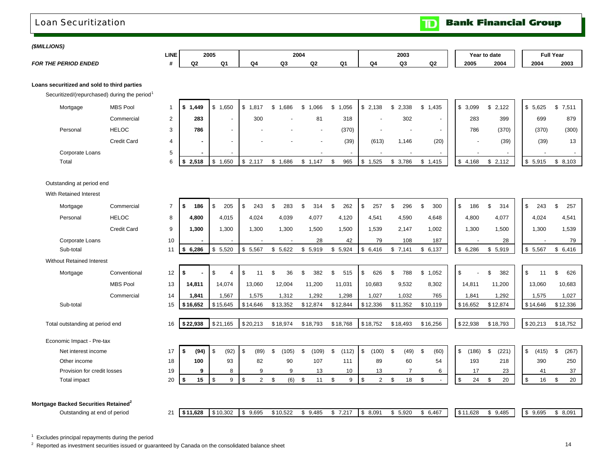### <span id="page-16-0"></span>Loan Securitization

**Bank Financial Group**  $\mathbf{D}$ 

 $\blacksquare$ 

1 г

### *(\$MILLIONS)*

*FOR THE PERIOD ENDED*

| <b>LINE</b> | 2005    |    | 2004     |    |    |    | 2003 |                | Year | ∵to date | <b>Full Year</b> |      |
|-------------|---------|----|----------|----|----|----|------|----------------|------|----------|------------------|------|
|             | Q<br>റാ | O4 | ~~<br>wJ | Q2 | Ω1 | Q4 | Q3   | Q <sub>2</sub> | 2005 | 2004     | 2004             | 2003 |

### **Loans securitized and sold to third parties**

Securitized/(repurchased) during the period $1$ 

| Mortgage        | <b>MBS Pool</b> |   | 1,449<br>IS. | .650<br>ಾ                | 1,817                    | ,686                     | ,066                     | ,056<br>_Տ 1 | \$2,138      | \$2,338                  | 1,435<br>\$.             | 3,099       | \$2,122 | 5,625 | \$7,511 |
|-----------------|-----------------|---|--------------|--------------------------|--------------------------|--------------------------|--------------------------|--------------|--------------|--------------------------|--------------------------|-------------|---------|-------|---------|
|                 | Commercial      |   | 283          |                          | 300                      |                          | 81                       | 318          |              | 302                      |                          | 283         | 399     | 699   | 879     |
| Personal        | <b>HELOC</b>    |   | 786          | $\sim$                   | $\sim$                   | $\overline{\phantom{0}}$ | $\overline{\phantom{a}}$ | (370)        |              | $\overline{\phantom{a}}$ | $\overline{\phantom{a}}$ | 786         | (370)   | (370) | (300)   |
|                 | Credit Card     |   |              | $\overline{\phantom{a}}$ | $\overline{\phantom{a}}$ | $\overline{\phantom{a}}$ | $\overline{\phantom{a}}$ | (39)         | (613)        | .146                     | (20)                     |             | (39)    | (39)  | 13      |
| Corporate Loans |                 |   |              |                          |                          |                          |                          |              |              |                          |                          |             |         |       |         |
| Total           |                 | 6 | 2,518<br>IS- | .650<br>l \$             | 2,117                    | 686.                     | 1,147                    | 965          | 1,525<br>l S | 3,786                    | 1,415<br>S.              | 4,168<br>৾ঌ | \$2,112 | 5,915 | \$8,103 |

### Outstanding at period end

With Retained Interest

| Mortgage                                         | Commercial         | $\overline{7}$ | 186<br>\$  | \$<br>205              | \$<br>243   | £.<br>283            | 314          | 262<br>£.   | \$<br>257            | 296            | 300<br>\$   | \$       | 186   | \$.<br>314   | \$<br>243   | 257<br>\$.            |
|--------------------------------------------------|--------------------|----------------|------------|------------------------|-------------|----------------------|--------------|-------------|----------------------|----------------|-------------|----------|-------|--------------|-------------|-----------------------|
| Personal                                         | <b>HELOC</b>       | 8              | 4,800      | 4,015                  | 4,024       | 4,039                | 4,077        | 4,120       | 4,541                | 4,590          | 4,648       |          | 4,800 | 4,077        | 4,024       | 4,541                 |
|                                                  | <b>Credit Card</b> | 9              | 1,300      | 1,300                  | 1,300       | 1,300                | 1,500        | 1,500       | 1,539                | 2,147          | 1,002       |          | 1,300 | 1,500        | 1,300       | 1,539                 |
| Corporate Loans                                  |                    | 10             |            |                        |             |                      | 28           | 42          | 79                   | 108            | 187         |          |       | 28           |             | 79                    |
| Sub-total                                        |                    | 11             | 6,286<br>s | \$<br>5,520            | \$<br>5,567 | \$<br>5,622          | \$<br>5,919  | 5,924<br>\$ | \$<br>6,416          | \$7,141        | \$6,137     | \$       | 6,286 | \$5,919      | \$5,567     | \$6,416               |
| <b>Without Retained Interest</b>                 |                    |                |            |                        |             |                      |              |             |                      |                |             |          |       |              |             |                       |
| Mortgage                                         | Conventional       | 12             | \$         | \$<br>4                | \$<br>11    | $\mathfrak{s}$<br>36 | 382<br>\$    | \$<br>515   | $\mathsf{\$}$<br>626 | 788<br>\$      | 1,052<br>\$ | \$       |       | 382<br>\$    | \$<br>11    | $\mathfrak{L}$<br>626 |
|                                                  | <b>MBS Pool</b>    | 13             | 14,811     | 14,074                 | 13,060      | 12,004               | 11,200       | 11,031      | 10,683               | 9,532          | 8,302       | 14,811   |       | 11,200       | 13,060      | 10,683                |
|                                                  | Commercial         | 14             | 1,841      | 1,567                  | 1,575       | 1,312                | 1,292        | 1,298       | 1,027                | 1,032          | 765         |          | 1,841 | 1,292        | 1,575       | 1,027                 |
| Sub-total                                        |                    | 15             | \$16,652   | \$15,645               | \$14,646    | \$13,352             | \$12,874     | \$12,844    | \$12,336             | \$11,352       | \$10,119    | \$16,652 |       | \$12,874     | \$14,646    | \$12,336              |
|                                                  |                    |                |            |                        |             |                      |              |             |                      |                |             |          |       |              |             |                       |
| Total outstanding at period end                  |                    | 16             | \$22,938   | \$21,165               | \$20,213    | \$18,974             | \$18,793     | \$18,768    | \$18,752             | \$18,493       | \$16,256    | \$22,938 |       | \$18,793     | \$20,213    | \$18,752              |
| Economic Impact - Pre-tax                        |                    |                |            |                        |             |                      |              |             |                      |                |             |          |       |              |             |                       |
| Net interest income                              |                    | 17             | \$<br>(94) | $\mathfrak{L}$<br>(92) | \$<br>(89)  | \$.<br>(105)         | -\$<br>(109) | \$<br>(112) | \$<br>(100)          | -S<br>(49)     | (60)<br>-\$ | \$       | (186) | \$.<br>(221) | \$<br>(415) | \$<br>(267)           |
| Other income                                     |                    | 18             | 100        | 93                     | 82          | 90                   | 107          | 111         | 89                   | 60             | 54          |          | 193   | 218          | 390         | 250                   |
|                                                  |                    |                |            |                        | 9           | 9                    | 13           | 10          | 13                   | $\overline{ }$ | 6           |          | 17    | 23           | 41          | 37                    |
| Provision for credit losses                      |                    | 19             | 9          | 8                      |             |                      |              |             |                      |                |             |          |       |              |             |                       |
| <b>Total impact</b>                              |                    | 20             | 15<br>\$   | \$<br>9                | \$<br>2     | \$<br>(6)            | \$<br>11     | \$<br>9     | \$<br>$\overline{2}$ | 18<br>\$       | \$          | \$       | 24    | 20<br>\$     | \$<br>16    | 20<br>\$              |
|                                                  |                    |                |            |                        |             |                      |              |             |                      |                |             |          |       |              |             |                       |
| Mortgage Backed Securities Retained <sup>2</sup> |                    |                |            |                        |             |                      |              |             |                      |                |             |          |       |              |             |                       |

 $1$  Excludes principal repayments during the period

<sup>2</sup> Reported as investment securities issued or guaranteed by Canada on the consolidated balance sheet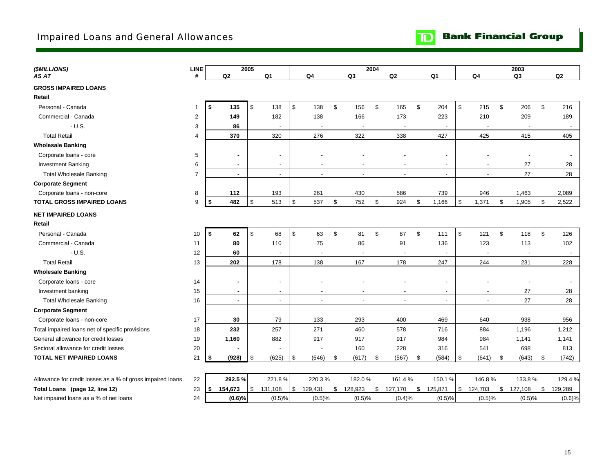## <span id="page-17-0"></span>Impaired Loans and General Allowances

| (\$MILLIONS)                                               | <b>LINE</b>    |                | 2005                    |                          |                |                          |               |                          | 2004          |                          |               |                          |               |                          |               | 2003           |                           |         |
|------------------------------------------------------------|----------------|----------------|-------------------------|--------------------------|----------------|--------------------------|---------------|--------------------------|---------------|--------------------------|---------------|--------------------------|---------------|--------------------------|---------------|----------------|---------------------------|---------|
| AS AT                                                      | #              | Q2             |                         | Q <sub>1</sub>           |                | Q <sub>4</sub>           |               | Q <sub>3</sub>           |               | Q2                       |               | Q <sub>1</sub>           |               | Q <sub>4</sub>           |               | Q <sub>3</sub> |                           | Q2      |
| <b>GROSS IMPAIRED LOANS</b>                                |                |                |                         |                          |                |                          |               |                          |               |                          |               |                          |               |                          |               |                |                           |         |
| Retail                                                     |                |                |                         |                          |                |                          |               |                          |               |                          |               |                          |               |                          |               |                |                           |         |
| Personal - Canada                                          | $\mathbf{1}$   | \$<br>135      | $\sqrt[6]{\frac{1}{2}}$ | 138                      | $\mathfrak s$  | 138                      | $\mathfrak s$ | 156                      | $\mathfrak s$ | 165                      | $\mathfrak s$ | 204                      | $\frac{1}{2}$ | 215                      | $\mathfrak s$ | 206            | $\mathfrak s$             | 216     |
| Commercial - Canada                                        | $\overline{2}$ | 149            |                         | 182                      |                | 138                      |               | 166                      |               | 173                      |               | 223                      |               | 210                      |               | 209            |                           | 189     |
| $- U.S.$                                                   | 3              | 86             |                         |                          |                | $\overline{\phantom{a}}$ |               | $\overline{\phantom{a}}$ |               | $\overline{a}$           |               | $\overline{\phantom{a}}$ |               | $\overline{\phantom{a}}$ |               |                |                           |         |
| <b>Total Retail</b>                                        | 4              | 370            |                         | 320                      |                | 276                      |               | 322                      |               | 338                      |               | 427                      |               | 425                      |               | 415            |                           | 405     |
| <b>Wholesale Banking</b>                                   |                |                |                         |                          |                |                          |               |                          |               |                          |               |                          |               |                          |               |                |                           |         |
| Corporate loans - core                                     | 5              | $\blacksquare$ |                         |                          |                |                          |               |                          |               |                          |               |                          |               |                          |               |                |                           |         |
| <b>Investment Banking</b>                                  | 6              | $\blacksquare$ |                         | $\overline{\phantom{a}}$ |                | $\overline{\phantom{a}}$ |               | $\overline{\phantom{0}}$ |               | $\overline{\phantom{a}}$ |               | $\overline{\phantom{0}}$ |               | $\overline{\phantom{a}}$ |               | 27             |                           | 28      |
| <b>Total Wholesale Banking</b>                             | $\overline{7}$ | $\sim$         |                         | $\blacksquare$           |                | $\blacksquare$           |               | $\overline{\phantom{a}}$ |               | $\blacksquare$           |               | $\overline{\phantom{a}}$ |               | $\blacksquare$           |               | 27             |                           | 28      |
| <b>Corporate Segment</b>                                   |                |                |                         |                          |                |                          |               |                          |               |                          |               |                          |               |                          |               |                |                           |         |
| Corporate loans - non-core                                 | 8              | 112            |                         | 193                      |                | 261                      |               | 430                      |               | 586                      |               | 739                      |               | 946                      |               | 1,463          |                           | 2,089   |
| <b>TOTAL GROSS IMPAIRED LOANS</b>                          | 9              | 482<br>\$      | \$                      | 513                      | $\mathfrak{S}$ | 537                      | \$            | 752                      | \$            | 924                      | \$            | 1,166                    | $\mathfrak s$ | 1,371                    | \$            | 1,905          | \$                        | 2,522   |
| <b>NET IMPAIRED LOANS</b>                                  |                |                |                         |                          |                |                          |               |                          |               |                          |               |                          |               |                          |               |                |                           |         |
| Retail                                                     |                |                |                         |                          |                |                          |               |                          |               |                          |               |                          |               |                          |               |                |                           |         |
| Personal - Canada                                          | 10             | \$<br>62       | \$                      | 68                       | \$             | 63                       | $\mathfrak s$ | 81                       | $\mathsf{\$}$ | 87                       | $\mathfrak s$ | 111                      | \$            | 121                      | $\mathfrak s$ | 118            | $\boldsymbol{\mathsf{S}}$ | 126     |
| Commercial - Canada                                        | 11             | 80             |                         | 110                      |                | 75                       |               | 86                       |               | 91                       |               | 136                      |               | 123                      |               | 113            |                           | 102     |
| $- U.S.$                                                   | 12             | 60             |                         |                          |                | . .                      |               | $\overline{\phantom{a}}$ |               | $\overline{\phantom{a}}$ |               | $\overline{\phantom{0}}$ |               | $\overline{\phantom{a}}$ |               |                |                           |         |
| <b>Total Retail</b>                                        | 13             | 202            |                         | 178                      |                | 138                      |               | 167                      |               | 178                      |               | 247                      |               | 244                      |               | 231            |                           | 228     |
| <b>Wholesale Banking</b>                                   |                |                |                         |                          |                |                          |               |                          |               |                          |               |                          |               |                          |               |                |                           |         |
| Corporate loans - core                                     | 14             | $\sim$         |                         |                          |                |                          |               |                          |               |                          |               |                          |               |                          |               |                |                           |         |
| Investment banking                                         | 15             | $\blacksquare$ |                         | $\overline{\phantom{a}}$ |                | $\overline{\phantom{a}}$ |               | $\overline{\phantom{a}}$ |               | $\overline{a}$           |               | $\overline{\phantom{a}}$ |               | $\blacksquare$           |               | 27             |                           | 28      |
| <b>Total Wholesale Banking</b>                             | 16             | $\sim$         |                         | $\blacksquare$           |                | $\blacksquare$           |               | $\overline{a}$           |               | $\blacksquare$           |               | $\blacksquare$           |               | $\blacksquare$           |               | 27             |                           | 28      |
| <b>Corporate Segment</b>                                   |                |                |                         |                          |                |                          |               |                          |               |                          |               |                          |               |                          |               |                |                           |         |
| Corporate loans - non-core                                 | 17             | 30             |                         | 79                       |                | 133                      |               | 293                      |               | 400                      |               | 469                      |               | 640                      |               | 938            |                           | 956     |
| Total impaired loans net of specific provisions            | 18             | 232            |                         | 257                      |                | 271                      |               | 460                      |               | 578                      |               | 716                      |               | 884                      |               | 1,196          |                           | 1,212   |
| General allowance for credit losses                        | 19             | 1,160          |                         | 882                      |                | 917                      |               | 917                      |               | 917                      |               | 984                      |               | 984                      |               | 1,141          |                           | 1,141   |
| Sectoral allowance for credit losses                       | 20             |                |                         |                          |                |                          |               | 160                      |               | 228                      |               | 316                      |               | 541                      |               | 698            |                           | 813     |
| TOTAL NET IMPAIRED LOANS                                   | 21             | (928)<br>\$    | \$                      | (625)                    | \$             | (646)                    | \$            | (617)                    | \$            | (567)                    | \$            | (584)                    | $\mathfrak s$ | (641)                    | \$            | (643)          | \$                        | (742)   |
|                                                            |                |                |                         |                          |                |                          |               |                          |               |                          |               |                          |               |                          |               |                |                           |         |
| Allowance for credit losses as a % of gross impaired loans | 22             | 292.5%         |                         | 221.8%                   |                | 220.3%                   |               | 182.0%                   |               | 161.4%                   |               | 150.1%                   |               | 146.8%                   |               | 133.8%         |                           | 129.4 % |
| Total Loans (page 12, line 12)                             | 23             | \$<br>154,673  | \$                      | 131,108                  | \$             | 129,431                  | \$            | 128,923                  | \$            | 127,170                  | \$            | 125,871                  | \$            | 124,703                  | \$            | 127,108        | \$                        | 129,289 |
| Net impaired loans as a % of net loans                     | 24             | (0.6)%         |                         | (0.5)%                   |                | (0.5)%                   |               | (0.5)%                   |               | (0.4)%                   |               | (0.5)%                   |               | (0.5)%                   |               | (0.5)%         |                           | (0.6)%  |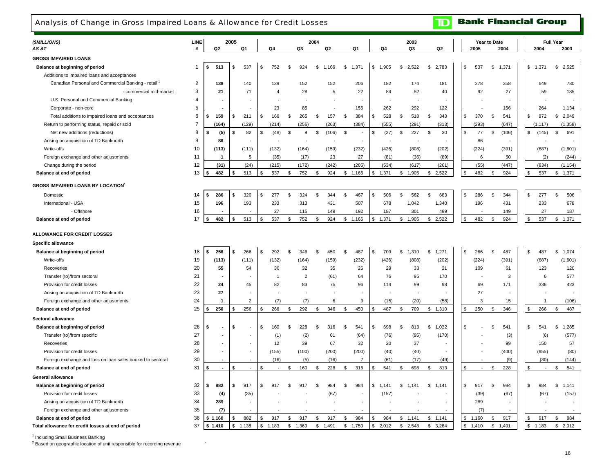## <span id="page-18-0"></span>Analysis of Change in Gross Impaired Loans & Allowance for Credit Losses

| (\$MILLIONS)                                                   | <b>LINE</b>    |                                | 2005           |                |               |                |                | 2004           |                |              |                          |                          | 2003        |                |              |        | Year to Date   |       |                |                | <b>Full Year</b>     |
|----------------------------------------------------------------|----------------|--------------------------------|----------------|----------------|---------------|----------------|----------------|----------------|----------------|--------------|--------------------------|--------------------------|-------------|----------------|--------------|--------|----------------|-------|----------------|----------------|----------------------|
| AS AT                                                          |                | Q <sub>2</sub>                 |                | Q1             |               | Q4             | Q3             |                | Q <sub>2</sub> |              | Q <sub>1</sub>           | Q4                       | Q3          | Q <sub>2</sub> |              | 2005   |                | 2004  |                | 2004           | 2003                 |
| <b>GROSS IMPAIRED LOANS</b>                                    |                |                                |                |                |               |                |                |                |                |              |                          |                          |             |                |              |        |                |       |                |                |                      |
| Balance at beginning of period                                 | -1             | 513                            | \$             | 537            | \$            | 752            | \$<br>924      | \$             | 1,166          | \$           | 1,371                    | \$<br>1,905              | \$<br>2,522 | \$<br>2,783    | \$           | 537    | \$             | 1,371 | \$             | 1,371          | $\mathbb S$<br>2,525 |
| Additions to impaired loans and acceptances                    |                |                                |                |                |               |                |                |                |                |              |                          |                          |             |                |              |        |                |       |                |                |                      |
| Canadian Personal and Commercial Banking - retail <sup>1</sup> | $\overline{2}$ | 138                            |                | 140            |               | 139            | 152            |                | 152            |              | 206                      | 182                      | 174         | 181            |              | 278    |                | 358   |                | 649            | 730                  |
| - commercial mid-market                                        | 3              | 21                             |                | 71             |               | $\overline{4}$ | 28             |                | 5              |              | 22                       | 84                       | 52          | 40             |              | 92     |                | 27    |                | 59             | 185                  |
| U.S. Personal and Commercial Banking                           | $\overline{4}$ |                                |                |                |               |                |                |                |                |              | $\overline{\phantom{a}}$ |                          |             |                |              |        |                |       |                |                |                      |
| Corporate - non-core                                           | 5              |                                |                |                |               | 23             | 85             |                |                |              | 156                      | 262                      | 292         | 122            |              |        |                | 156   |                | 264            | 1,134                |
| Total additions to impaired loans and acceptances              | 6              | 159                            | \$             | 211            | \$            | 166            | \$<br>265      | \$             | 157            | \$           | 384                      | 528<br>\$                | \$<br>518   | 343<br>\$      | \$           | 370    | \$             | 541   | \$             | 972            | 2,049<br>\$          |
| Return to performing status, repaid or sold                    | $\overline{7}$ | (164)                          |                | (129)          |               | (214)          | (256)          |                | (263)          |              | (384)                    | (555)                    | (291)       | (313)          |              | (293)  |                | (647) |                | (1, 117)       | (1, 358)             |
| Net new additions (reductions)                                 | 8              | (5)<br>\$                      | \$             | 82             | $\mathfrak s$ | (48)           | \$<br>9        | \$             | (106)          | \$           | $\overline{\phantom{a}}$ | \$<br>(27)               | \$<br>227   | 30<br>\$       | $\mathbb{S}$ | 77     | \$             | (106) | $\mathfrak{s}$ | (145)          | \$<br>691            |
| Arising on acquisition of TD Banknorth                         | 9              | 86                             |                |                |               |                |                |                |                |              | $\overline{\phantom{a}}$ | $\overline{\phantom{a}}$ | ÷,          |                |              | 86     |                |       |                |                |                      |
| Write-offs                                                     | 10             | (113)                          |                | (111)          |               | (132)          | (164)          |                | (159)          |              | (232)                    | (426)                    | (808)       | (202)          |              | (224)  |                | (391) |                | (687)          | (1,601)              |
| Foreign exchange and other adjustments                         | 11             | $\mathbf{1}$                   |                | 5              |               | (35)           | (17)           |                | 23             |              | 27                       | (81)                     | (36)        | (89)           |              | 6      |                | 50    |                | (2)            | (244)                |
| Change during the period                                       | 12             | (31)                           |                | (24)           |               | (215)          | (172)          |                | (242)          |              | (205)                    | (534)                    | (617)       | (261)          |              | (55)   |                | (447) |                | (834)          | (1, 154)             |
| Balance at end of period                                       | 13             | 482                            | \$             | 513            | \$            | 537            | \$<br>752      | \$             | 924            | \$           | 1,166                    | 1,371<br>\$              | \$1,905     | 2,522<br>\$    | \$           | 482    | \$             | 924   | \$             | 537            | 1,371<br>\$          |
| <b>GROSS IMPAIRED LOANS BY LOCATION</b>                        |                |                                |                |                |               |                |                |                |                |              |                          |                          |             |                |              |        |                |       |                |                |                      |
| Domestic                                                       | 14             | 286<br>\$                      | \$.            | 320            | \$            | 277            | \$<br>324      | \$             | 344            | $\mathbf{s}$ | 467                      | 506<br>\$                | \$<br>562   | \$<br>683      | \$           | 286    | \$             | 344   | $\mathfrak{L}$ | 277            | \$<br>506            |
| International - USA                                            | 15             | 196                            |                | 193            |               | 233            | 313            |                | 431            |              | 507                      | 678                      | 1,042       | 1,340          |              | 196    |                | 431   |                | 233            | 678                  |
| - Offshore                                                     | 16             |                                |                |                |               | 27             | 115            |                | 149            |              | 192                      | 187                      | 301         | 499            |              |        |                | 149   |                | 27             | 187                  |
| Balance at end of period                                       | 17             | 482<br>\$                      | \$             | 513            | \$            | 537            | \$<br>752      | \$             | 924            |              | \$1,166                  | \$<br>1,371              | \$1,905     | \$2,522        | \$           | 482    | \$             | 924   | $\mathfrak{s}$ | 537            | \$<br>1,371          |
|                                                                |                |                                |                |                |               |                |                |                |                |              |                          |                          |             |                |              |        |                |       |                |                |                      |
| <b>ALLOWANCE FOR CREDIT LOSSES</b>                             |                |                                |                |                |               |                |                |                |                |              |                          |                          |             |                |              |        |                |       |                |                |                      |
| <b>Specific allowance</b>                                      |                |                                |                |                |               |                |                |                |                |              |                          |                          |             |                |              |        |                |       |                |                |                      |
| Balance at beginning of period                                 | 18             | 256                            | \$             | 266            | \$            | 292            | \$<br>346      | \$             | 450            | $\mathbf{s}$ | 487                      | \$<br>709                | \$1,310     | \$<br>1,271    | \$           | 266    | \$             | 487   | $\mathfrak{s}$ | 487            | \$<br>1,074          |
| Write-offs                                                     | 19             | (113)                          |                | (111)          |               | (132)          | (164)          |                | (159)          |              | (232)                    | (426)                    | (808)       | (202)          |              | (224)  |                | (391) |                | (687)          | (1,601)              |
| Recoveries                                                     | 20             | 55                             |                | 54             |               | 30             | 32             |                | 35             |              | 26                       | 29                       | 33          | 31             |              | 109    |                | 61    |                | 123            | 120                  |
| Transfer (to)/from sectoral                                    | 21             |                                |                |                |               | $\overline{1}$ | $\overline{2}$ |                | (61)           |              | 64                       | 76                       | 95          | 170            |              |        |                | 3     |                | 6              | 577                  |
| Provision for credit losses                                    | 22             | 24                             |                | 45             |               | 82             | 83             |                | 75             |              | 96                       | 114                      | 99          | 98             |              | 69     |                | 171   |                | 336            | 423                  |
| Arising on acquisition of TD Banknorth                         | 23             | 27                             |                |                |               |                |                |                |                |              |                          |                          |             |                |              | 27     |                |       |                |                |                      |
| Foreign exchange and other adjustments                         | 24             | $\overline{\mathbf{1}}$        |                | $\overline{2}$ |               | (7)            | (7)            |                | 6              |              | 9                        | (15)                     | (20)        | (58)           |              | 3      |                | 15    |                | $\overline{1}$ | (106)                |
| Balance at end of period                                       | 25             | 250<br>\$                      | \$             | 256            | \$            | 266            | \$<br>292      | \$             | 346            | \$           | 450                      | \$<br>487                | \$<br>709   | \$1,310        | \$.          | 250    | \$             | 346   | $\mathfrak{L}$ | 266            | 487<br>\$            |
| Sectoral allowance                                             |                |                                |                |                |               |                |                |                |                |              |                          |                          |             |                |              |        |                |       |                |                |                      |
| Balance at beginning of period                                 | 26             | \$<br>$\overline{\phantom{a}}$ | \$             | ٠              | \$            | 160            | \$<br>228      | \$             | 316            | . ድ          | 541                      | \$<br>698                | \$<br>813   | \$1,032        | \$           |        | \$             | 541   | \$             | 541            | \$<br>1,285          |
| Transfer (to)/from specific                                    | 27             |                                |                |                |               | (1)            | (2)            |                | 61             |              | (64)                     | (76)                     | (95)        | (170)          |              |        |                | (3)   |                | (6)            | (577)                |
| Recoveries                                                     | 28             | $\overline{a}$                 |                | $\overline{a}$ |               | 12             | 39             |                | 67             |              | 32                       | 20                       | 37          |                |              |        |                | 99    |                | 150            | 57                   |
| Provision for credit losses                                    | 29             |                                |                |                |               | (155)          | (100)          |                | (200)          |              | (200)                    | (40)                     | (40)        |                |              |        |                | (400) |                | (655)          | (80)                 |
| Foreign exchange and loss on loan sales booked to sectoral     | 30             |                                |                |                |               | (16)           | (5)            |                | (16)           |              | $\overline{7}$           | (61)                     | (17)        | (49)           |              |        |                | (9)   |                | (30)           | (144)                |
| Balance at end of period                                       | 31             | $\overline{\phantom{a}}$       | \$             | $\mathbb{Z}^2$ | \$            | $\sim$         | \$<br>160      | \$             | 228            | \$           | 316                      | 541<br>\$                | \$<br>698   | 813<br>\$      | \$           | $\sim$ | \$             | 228   | \$             | $\sim$         | 541<br>\$            |
| General allowance                                              |                |                                |                |                |               |                |                |                |                |              |                          |                          |             |                |              |        |                |       |                |                |                      |
| Balance at beginning of period                                 | 32             | 882<br>s                       | \$             | 917            | S             | 917            | \$<br>917      | £.             | 984            | \$.          | 984                      | \$<br>1,141              | \$<br>1,141 | \$<br>1,141    | \$           | 917    | \$             | 984   | $\mathfrak{L}$ | 984            | \$<br>1,141          |
| Provision for credit losses                                    | 33             | (4)                            |                | (35)           |               |                |                |                | (67)           |              |                          | (157)                    |             |                |              | (39)   |                | (67)  |                | (67)           | (157)                |
| Arising on acquisition of TD Banknorth                         | 34             | 289                            |                |                |               |                |                |                |                |              | ÷,                       |                          |             |                |              | 289    |                |       |                |                |                      |
| Foreign exchange and other adjustments                         | 35             | (7)                            |                |                |               |                |                |                |                |              |                          |                          |             |                |              | (7)    |                |       |                |                |                      |
| Balance at end of period                                       | 36             | \$1,160                        |                | 882            | \$            | 917            | \$<br>917      | \$             | 917            | \$           | 984                      | 984<br>\$                | \$1,141     | 1,141<br>\$    | \$           | 1,160  | \$             | 917   | \$             | 917            | \$<br>984            |
| Total allowance for credit losses at end of period             | 37             | \$1,410                        | $$\mathbb{S}$$ | 1,138          | \$            | 1,183          | \$<br>1,369    | $$\mathbb{S}$$ | 1,491          | \$           | 1,750                    | \$<br>2,012              | \$<br>2,548 | \$<br>3,264    | \$           | 1,410  | $$\mathbb{S}$$ | 1,491 | \$             | 1,183          | \$<br>2,012          |

<sup>1</sup> Including Small Business Banking

 $2$  Based on geographic location of unit responsible for recording revenue

**Bank Financial Group** 

 $\mathbf{D}$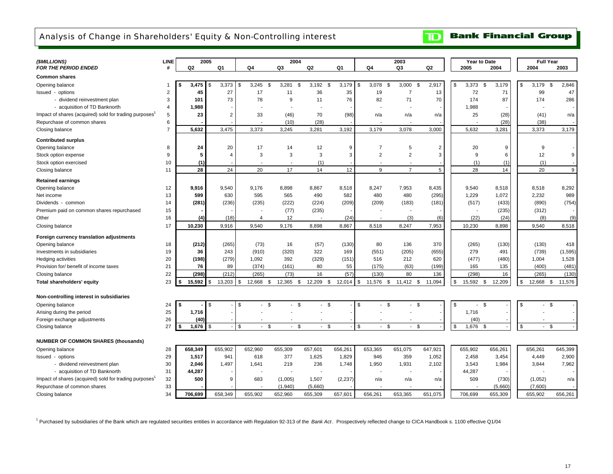## <span id="page-19-0"></span>Analysis of Change in Shareholders' Equity & Non-Controlling interest

### **Bank Financial Group**  $\mathbf{D}$

| (\$MILLIONS)                                                       | LINE           | 2005           |                |                | 2004               |                |              |                          | 2003                     |                | Year to Date                   |               | <b>Full Year</b>   |          |
|--------------------------------------------------------------------|----------------|----------------|----------------|----------------|--------------------|----------------|--------------|--------------------------|--------------------------|----------------|--------------------------------|---------------|--------------------|----------|
| <b>FOR THE PERIOD ENDED</b>                                        | #              | Q <sub>2</sub> | Q1             | Q4             | Q3                 | Q <sub>2</sub> | Q1           | Q4                       | Q3                       | Q2             | 2005                           | 2004          | 2004               | 2003     |
| <b>Common shares</b>                                               |                |                |                |                |                    |                |              |                          |                          |                |                                |               |                    |          |
| Opening balance                                                    | $\overline{1}$ | 3,475          | 3,373          | \$<br>3,245    | 3,281<br>\$        | 3,192<br>\$    | 3,179<br>\$  | 3,078<br>\$              | \$<br>3,000              | \$<br>2,917    | \$<br>3,373                    | \$<br>3,179   | \$<br>3,179<br>\$  | 2,846    |
| Issued - options                                                   | $\overline{2}$ | 45             | 27             | 17             | 11                 | 36             | 35           | 19                       | $\overline{7}$           | 13             | 72                             | 71            | 99                 | 47       |
| - dividend reinvestment plan                                       | 3              | 101            | 73             | 78             | 9                  | 11             | 76           | 82                       | 71                       | 70             | 174                            | 87            | 174                | 286      |
| - acquisition of TD Banknorth                                      | $\overline{4}$ | 1,988          |                |                |                    |                |              |                          |                          |                | 1,988                          |               |                    |          |
| Impact of shares (acquired) sold for trading purposes <sup>1</sup> | 5              | 23             | $\overline{2}$ | 33             | (46)               | 70             | (98)         | n/a                      | n/a                      | n/a            | 25                             | (28)          | (41)               | n/a      |
| Repurchase of common shares                                        | 6              |                |                |                | (10)               | (28)           |              |                          |                          |                |                                | (28)          | (38)               |          |
| Closing balance                                                    | $\overline{7}$ | 5,632          | 3,475          | 3,373          | 3,245              | 3,281          | 3,192        | 3,179                    | 3,078                    | 3,000          | 5,632                          | 3,281         | 3,373              | 3,179    |
| <b>Contributed surplus</b>                                         |                |                |                |                |                    |                |              |                          |                          |                |                                |               |                    |          |
| Opening balance                                                    | 8              | 24             | 20             | 17             | 14                 | 12             | 9            | $\overline{7}$           | 5                        | $\overline{2}$ | 20                             | 9             | 9                  |          |
| Stock option expense                                               | 9              | 5              | $\overline{4}$ | 3              | 3                  | 3              | 3            | $\overline{2}$           | $\overline{2}$           | 3              | 9                              | 6             | 12                 | 9        |
| Stock option exercised                                             | 10             | (1)            |                |                |                    | (1)            |              | ۰.                       | $\overline{\phantom{a}}$ |                | (1)                            | (1)           | (1)                |          |
| Closing balance                                                    | 11             | 28             | 24             | 20             | 17                 | 14             | 12           | 9                        | $\overline{7}$           | 5              | 28                             | 14            | 20                 | 9        |
| <b>Retained earnings</b>                                           |                |                |                |                |                    |                |              |                          |                          |                |                                |               |                    |          |
| Opening balance                                                    | 12             | 9,916          | 9,540          | 9,176          | 8,898              | 8,867          | 8,518        | 8,247                    | 7,953                    | 8,435          | 9,540                          | 8,518         | 8,518              | 8,292    |
| Net income                                                         | 13             | 599            | 630            | 595            | 565                | 490            | 582          | 480                      | 480                      | (295)          | 1,229                          | 1,072         | 2,232              | 989      |
| Dividends - common                                                 | 14             | (281)          | (236)          | (235)          | (222)              | (224)          | (209)        | (209)                    | (183)                    | (181)          | (517)                          | (433)         | (890)              | (754)    |
| Premium paid on common shares repurchased                          | 15             |                |                |                | (77)               | (235)          |              |                          |                          |                |                                | (235)         | (312)              |          |
| Other                                                              | 16             | (4)            | (18)           | $\overline{4}$ | 12                 | $\blacksquare$ | (24)         | $\overline{\phantom{a}}$ | (3)                      | (6)            | (22)                           | (24)          | (8)                | (9)      |
| Closing balance                                                    | 17             | 10,230         | 9,916          | 9,540          | 9,176              | 8,898          | 8,867        | 8,518                    | 8,247                    | 7,953          | 10,230                         | 8,898         | 9,540              | 8,518    |
| Foreign currency translation adjustments                           |                |                |                |                |                    |                |              |                          |                          |                |                                |               |                    |          |
| Opening balance                                                    | 18             | (212)          | (265)          | (73)           | 16                 | (57)           | (130)        | 80                       | 136                      | 370            | (265)                          | (130)         | (130)              | 418      |
| Investments in subsidiaries                                        | 19             | 36             | 243            | (910)          | (320)              | 322            | 169          | (551)                    | (205)                    | (655)          | 279                            | 491           | (739)              | (1, 595) |
| Hedging activities                                                 | 20             | (198)          | (279)          | 1,092          | 392                | (329)          | (151)        | 516                      | 212                      | 620            | (477)                          | (480)         | 1,004              | 1,528    |
| Provision for/ benefit of income taxes                             | 21             | 76             | 89             | (374)          | (161)              | 80             | 55           | (175)                    | (63)                     | (199)          | 165                            | 135           | (400)              | (481)    |
| Closing balance                                                    | 22             | (298)          | (212)          | (265)          | (73)               | 16             | (57)         | (130)                    | 80                       | 136            | (298)                          | 16            | (265)              | (130)    |
| Total shareholders' equity                                         | 23             | 15,592<br>s    | 13,203<br>\$   | \$<br>12,668   | \$<br>12,365       | \$<br>12,209   | \$<br>12,014 | $\sqrt{3}$<br>11,576     | \$<br>$11,412$ \$        | 11,094         | \$<br>15,592                   | \$<br>12,209  | \$<br>12,668<br>\$ | 11,576   |
| Non-controlling interest in subsidiaries                           |                |                |                |                |                    |                |              |                          |                          |                |                                |               |                    |          |
| Opening balance                                                    | 24             | -S             | \$.            | $\sqrt[6]{3}$  | $-$ \$<br>$-$ \$   | $-$ \$         |              | \$<br>$\blacksquare$     | \$<br>$\blacksquare$     | \$             | \$<br>$\overline{\phantom{a}}$ | \$            | \$<br>\$           |          |
| Arising during the period                                          | 25             | 1,716          |                |                |                    |                |              |                          |                          |                | 1,716                          |               |                    |          |
| Foreign exchange adjustments                                       | 26             | (40)           |                |                |                    |                |              |                          |                          |                | (40)                           |               |                    |          |
| Closing balance                                                    | 27             | 1,676<br>S     |                | \$<br>$\sim$   | \$<br>\$<br>$\sim$ | $\sim$         | \$           | \$<br>$\sim$             | \$<br>$\sim$             | \$             | \$<br>1.676                    | $\mathcal{F}$ | \$<br>$-$ \$       |          |
|                                                                    |                |                |                |                |                    |                |              |                          |                          |                |                                |               |                    |          |
| <b>NUMBER OF COMMON SHARES (thousands)</b>                         |                |                |                |                |                    |                |              |                          |                          |                |                                |               |                    |          |
| Opening balance                                                    | 28             | 658,349        | 655,902        | 652,960        | 655,309            | 657,601        | 656,261      | 653,365                  | 651,075                  | 647,921        | 655,902                        | 656,261       | 656,261            | 645,399  |
| Issued - options                                                   | 29             | 1,517          | 941            | 618            | 377                | 1,625          | 1,829        | 946                      | 359                      | 1,052          | 2,458                          | 3,454         | 4,449              | 2,900    |
| - dividend reinvestment plan                                       | 30             | 2,046          | 1,497          | 1,641          | 219                | 236            | 1,748        | 1,950                    | 1,931                    | 2,102          | 3,543                          | 1,984         | 3,844              | 7,962    |
| - acquisition of TD Banknorth                                      | 31             | 44,287         |                |                |                    |                |              |                          |                          |                | 44,287                         |               |                    |          |
| Impact of shares (acquired) sold for trading purposes              | 32             | 500            | 9              | 683            | (1,005)            | 1,507          | (2, 237)     | n/a                      | n/a                      | n/a            | 509                            | (730)         | (1,052)            | n/a      |
| Repurchase of common shares                                        | 33             |                |                |                | (1,940)            | (5,660)        |              |                          |                          |                |                                | (5,660)       | (7,600)            |          |
| Closing balance                                                    | 34             | 706,699        | 658,349        | 655,902        | 652,960            | 655,309        | 657,601      | 656,261                  | 653,365                  | 651,075        | 706,699                        | 655,309       | 655,902            | 656,261  |

<sup>1</sup> Purchased by subsidiaries of the Bank which are regulated securities entities in accordance with Regulation 92-313 of the Bank Act. Prospectively reflected change to CICA Handbook s. 1100 effective Q1/04